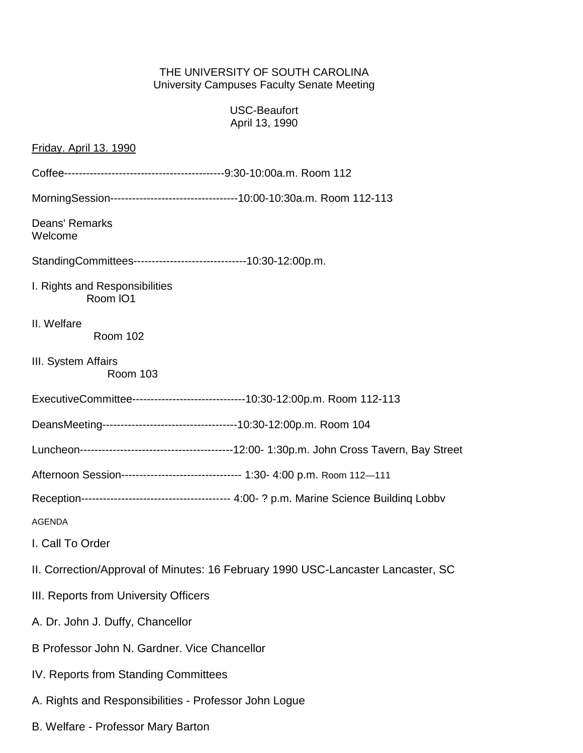## THE UNIVERSITY OF SOUTH CAROLINA University Campuses Faculty Senate Meeting

## USC-Beaufort April 13, 1990

| <u>Friday. April 13. 1990</u>                                                    |
|----------------------------------------------------------------------------------|
|                                                                                  |
| MorningSession----------------------------------10:00-10:30a.m. Room 112-113     |
| Deans' Remarks<br>Welcome                                                        |
| StandingCommittees------------------------------10:30-12:00p.m.                  |
| I. Rights and Responsibilities<br>Room IO1                                       |
| II. Welfare<br>Room 102                                                          |
| III. System Affairs<br><b>Room 103</b>                                           |
| ExecutiveCommittee------------------------------10:30-12:00p.m. Room 112-113     |
|                                                                                  |
|                                                                                  |
| Afternoon Session------------------------------- 1:30- 4:00 p.m. Room 112-111    |
|                                                                                  |
| <b>AGENDA</b>                                                                    |
| I. Call To Order                                                                 |
| II. Correction/Approval of Minutes: 16 February 1990 USC-Lancaster Lancaster, SC |
| III. Reports from University Officers                                            |
| A. Dr. John J. Duffy, Chancellor                                                 |
| B Professor John N. Gardner. Vice Chancellor                                     |
| IV. Reports from Standing Committees                                             |
| A. Rights and Responsibilities - Professor John Logue                            |
| B. Welfare - Professor Mary Barton                                               |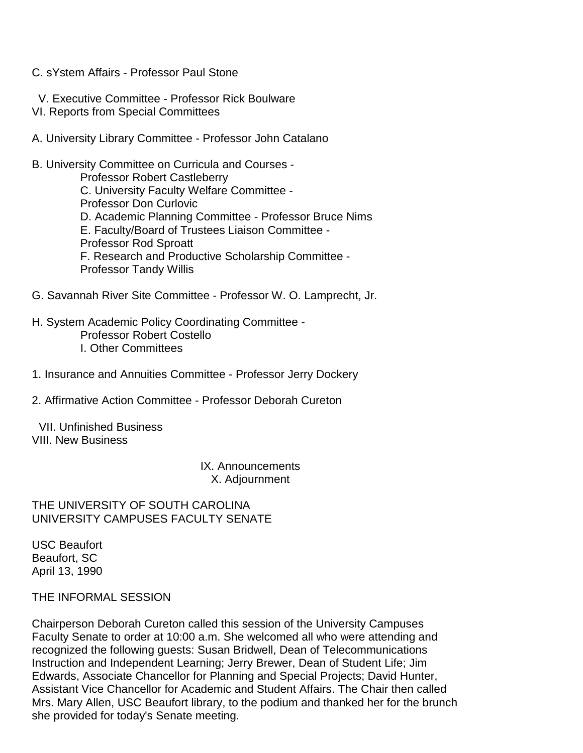C. sYstem Affairs - Professor Paul Stone

V. Executive Committee - Professor Rick Boulware VI. Reports from Special Committees

A. University Library Committee - Professor John Catalano

B. University Committee on Curricula and Courses - Professor Robert Castleberry C. University Faculty Welfare Committee - Professor Don Curlovic D. Academic Planning Committee - Professor Bruce Nims E. Faculty/Board of Trustees Liaison Committee - Professor Rod Sproatt F. Research and Productive Scholarship Committee - Professor Tandy Willis

G. Savannah River Site Committee - Professor W. O. Lamprecht, Jr.

H. System Academic Policy Coordinating Committee - Professor Robert Costello I. Other Committees

1. Insurance and Annuities Committee - Professor Jerry Dockery

2. Affirmative Action Committee - Professor Deborah Cureton

VII. Unfinished Business VIII. New Business

> IX. Announcements X. Adjournment

## THE UNIVERSITY OF SOUTH CAROLINA UNIVERSITY CAMPUSES FACULTY SENATE

USC Beaufort Beaufort, SC April 13, 1990

THE INFORMAL SESSION

Chairperson Deborah Cureton called this session of the University Campuses Faculty Senate to order at 10:00 a.m. She welcomed all who were attending and recognized the following guests: Susan Bridwell, Dean of Telecommunications Instruction and Independent Learning; Jerry Brewer, Dean of Student Life; Jim Edwards, Associate Chancellor for Planning and Special Projects; David Hunter, Assistant Vice Chancellor for Academic and Student Affairs. The Chair then called Mrs. Mary Allen, USC Beaufort library, to the podium and thanked her for the brunch she provided for today's Senate meeting.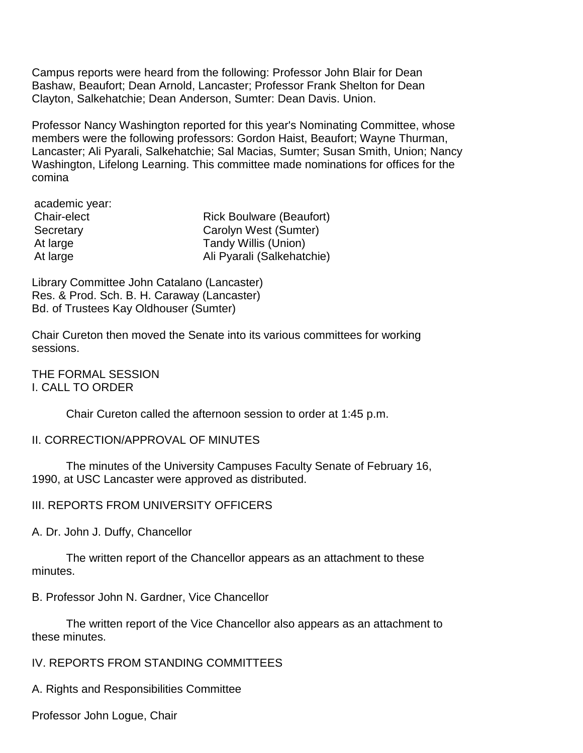Campus reports were heard from the following: Professor John Blair for Dean Bashaw, Beaufort; Dean Arnold, Lancaster; Professor Frank Shelton for Dean Clayton, Salkehatchie; Dean Anderson, Sumter: Dean Davis. Union.

Professor Nancy Washington reported for this year's Nominating Committee, whose members were the following professors: Gordon Haist, Beaufort; Wayne Thurman, Lancaster; Ali Pyarali, Salkehatchie; Sal Macias, Sumter; Susan Smith, Union; Nancy Washington, Lifelong Learning. This committee made nominations for offices for the comina

| academic year: |                                 |
|----------------|---------------------------------|
| Chair-elect    | <b>Rick Boulware (Beaufort)</b> |
| Secretary      | Carolyn West (Sumter)           |
| At large       | Tandy Willis (Union)            |
| At large       | Ali Pyarali (Salkehatchie)      |

Library Committee John Catalano (Lancaster) Res. & Prod. Sch. B. H. Caraway (Lancaster) Bd. of Trustees Kay Oldhouser (Sumter)

Chair Cureton then moved the Senate into its various committees for working sessions.

THE FORMAL SESSION I. CALL TO ORDER

Chair Cureton called the afternoon session to order at 1:45 p.m.

#### II. CORRECTION/APPROVAL OF MINUTES

The minutes of the University Campuses Faculty Senate of February 16, 1990, at USC Lancaster were approved as distributed.

III. REPORTS FROM UNIVERSITY OFFICERS

A. Dr. John J. Duffy, Chancellor

The written report of the Chancellor appears as an attachment to these minutes.

B. Professor John N. Gardner, Vice Chancellor

The written report of the Vice Chancellor also appears as an attachment to these minutes.

IV. REPORTS FROM STANDING COMMITTEES

A. Rights and Responsibilities Committee

Professor John Logue, Chair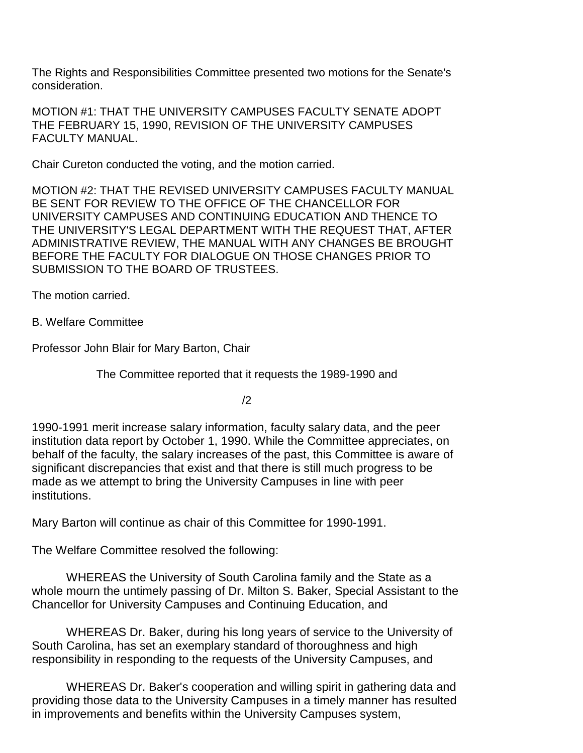The Rights and Responsibilities Committee presented two motions for the Senate's consideration.

MOTION #1: THAT THE UNIVERSITY CAMPUSES FACULTY SENATE ADOPT THE FEBRUARY 15, 1990, REVISION OF THE UNIVERSITY CAMPUSES FACULTY MANUAL.

Chair Cureton conducted the voting, and the motion carried.

MOTION #2: THAT THE REVISED UNIVERSITY CAMPUSES FACULTY MANUAL BE SENT FOR REVIEW TO THE OFFICE OF THE CHANCELLOR FOR UNIVERSITY CAMPUSES AND CONTINUING EDUCATION AND THENCE TO THE UNIVERSITY'S LEGAL DEPARTMENT WITH THE REQUEST THAT, AFTER ADMINISTRATIVE REVIEW, THE MANUAL WITH ANY CHANGES BE BROUGHT BEFORE THE FACULTY FOR DIALOGUE ON THOSE CHANGES PRIOR TO SUBMISSION TO THE BOARD OF TRUSTEES.

The motion carried.

B. Welfare Committee

Professor John Blair for Mary Barton, Chair

The Committee reported that it requests the 1989-1990 and

 $/2$ 

1990-1991 merit increase salary information, faculty salary data, and the peer institution data report by October 1, 1990. While the Committee appreciates, on behalf of the faculty, the salary increases of the past, this Committee is aware of significant discrepancies that exist and that there is still much progress to be made as we attempt to bring the University Campuses in line with peer institutions.

Mary Barton will continue as chair of this Committee for 1990-1991.

The Welfare Committee resolved the following:

WHEREAS the University of South Carolina family and the State as a whole mourn the untimely passing of Dr. Milton S. Baker, Special Assistant to the Chancellor for University Campuses and Continuing Education, and

WHEREAS Dr. Baker, during his long years of service to the University of South Carolina, has set an exemplary standard of thoroughness and high responsibility in responding to the requests of the University Campuses, and

WHEREAS Dr. Baker's cooperation and willing spirit in gathering data and providing those data to the University Campuses in a timely manner has resulted in improvements and benefits within the University Campuses system,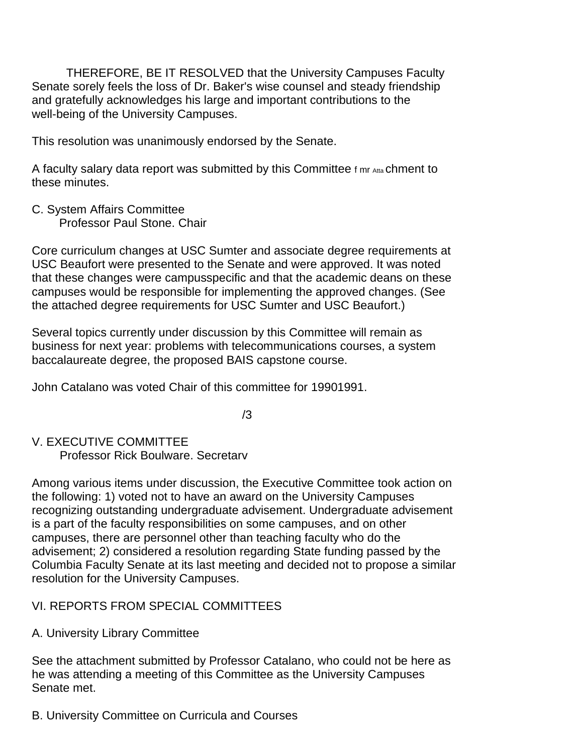THEREFORE, BE IT RESOLVED that the University Campuses Faculty Senate sorely feels the loss of Dr. Baker's wise counsel and steady friendship and gratefully acknowledges his large and important contributions to the well-being of the University Campuses.

This resolution was unanimously endorsed by the Senate.

A faculty salary data report was submitted by this Committee f mr Atta chment to these minutes.

C. System Affairs Committee Professor Paul Stone. Chair

Core curriculum changes at USC Sumter and associate degree requirements at USC Beaufort were presented to the Senate and were approved. It was noted that these changes were campusspecific and that the academic deans on these campuses would be responsible for implementing the approved changes. (See the attached degree requirements for USC Sumter and USC Beaufort.)

Several topics currently under discussion by this Committee will remain as business for next year: problems with telecommunications courses, a system baccalaureate degree, the proposed BAIS capstone course.

John Catalano was voted Chair of this committee for 19901991.

/3

V. EXECUTIVE COMMITTEE

Professor Rick Boulware. Secretarv

Among various items under discussion, the Executive Committee took action on the following: 1) voted not to have an award on the University Campuses recognizing outstanding undergraduate advisement. Undergraduate advisement is a part of the faculty responsibilities on some campuses, and on other campuses, there are personnel other than teaching faculty who do the advisement; 2) considered a resolution regarding State funding passed by the Columbia Faculty Senate at its last meeting and decided not to propose a similar resolution for the University Campuses.

# VI. REPORTS FROM SPECIAL COMMITTEES

# A. University Library Committee

See the attachment submitted by Professor Catalano, who could not be here as he was attending a meeting of this Committee as the University Campuses Senate met.

B. University Committee on Curricula and Courses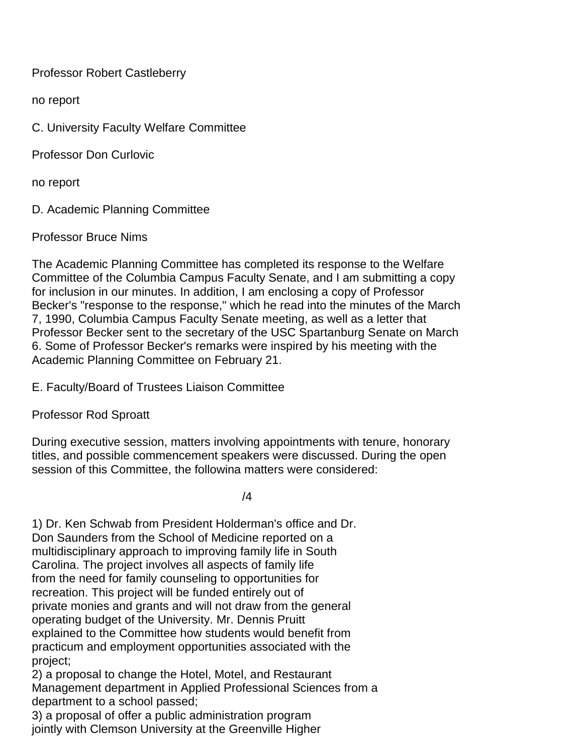Professor Robert Castleberry

no report

C. University Faculty Welfare Committee

Professor Don Curlovic

no report

D. Academic Planning Committee

Professor Bruce Nims

The Academic Planning Committee has completed its response to the Welfare Committee of the Columbia Campus Faculty Senate, and I am submitting a copy for inclusion in our minutes. In addition, I am enclosing a copy of Professor Becker's "response to the response," which he read into the minutes of the March 7, 1990, Columbia Campus Faculty Senate meeting, as well as a letter that Professor Becker sent to the secretary of the USC Spartanburg Senate on March 6. Some of Professor Becker's remarks were inspired by his meeting with the Academic Planning Committee on February 21.

E. Faculty/Board of Trustees Liaison Committee

Professor Rod Sproatt

During executive session, matters involving appointments with tenure, honorary titles, and possible commencement speakers were discussed. During the open session of this Committee, the followina matters were considered:

/4

1) Dr. Ken Schwab from President Holderman's office and Dr. Don Saunders from the School of Medicine reported on a multidisciplinary approach to improving family life in South Carolina. The project involves all aspects of family life from the need for family counseling to opportunities for recreation. This project will be funded entirely out of private monies and grants and will not draw from the general operating budget of the University. Mr. Dennis Pruitt explained to the Committee how students would benefit from practicum and employment opportunities associated with the project;

2) a proposal to change the Hotel, Motel, and Restaurant Management department in Applied Professional Sciences from a department to a school passed;

3) a proposal of offer a public administration program jointly with Clemson University at the Greenville Higher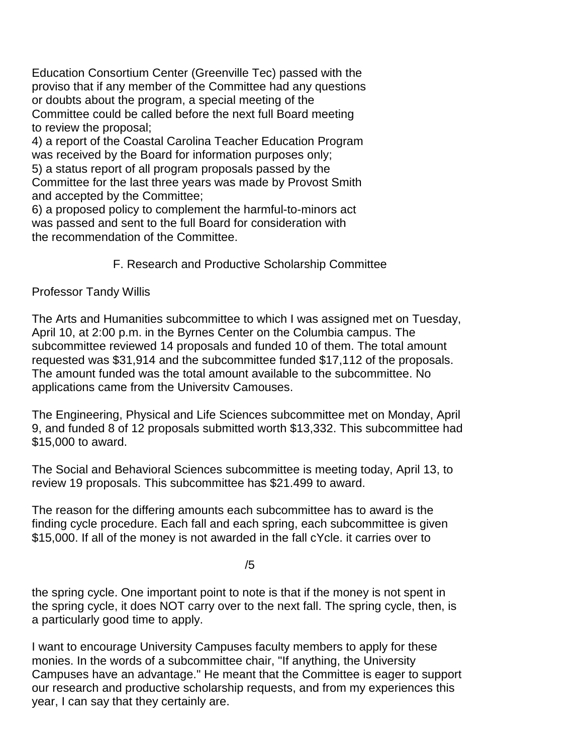Education Consortium Center (Greenville Tec) passed with the proviso that if any member of the Committee had any questions or doubts about the program, a special meeting of the Committee could be called before the next full Board meeting to review the proposal;

4) a report of the Coastal Carolina Teacher Education Program was received by the Board for information purposes only; 5) a status report of all program proposals passed by the Committee for the last three years was made by Provost Smith and accepted by the Committee;

6) a proposed policy to complement the harmful-to-minors act was passed and sent to the full Board for consideration with the recommendation of the Committee.

# F. Research and Productive Scholarship Committee

# Professor Tandy Willis

The Arts and Humanities subcommittee to which I was assigned met on Tuesday, April 10, at 2:00 p.m. in the Byrnes Center on the Columbia campus. The subcommittee reviewed 14 proposals and funded 10 of them. The total amount requested was \$31,914 and the subcommittee funded \$17,112 of the proposals. The amount funded was the total amount available to the subcommittee. No applications came from the Universitv Camouses.

The Engineering, Physical and Life Sciences subcommittee met on Monday, April 9, and funded 8 of 12 proposals submitted worth \$13,332. This subcommittee had \$15,000 to award.

The Social and Behavioral Sciences subcommittee is meeting today, April 13, to review 19 proposals. This subcommittee has \$21.499 to award.

The reason for the differing amounts each subcommittee has to award is the finding cycle procedure. Each fall and each spring, each subcommittee is given \$15,000. If all of the money is not awarded in the fall cYcle. it carries over to

/5

the spring cycle. One important point to note is that if the money is not spent in the spring cycle, it does NOT carry over to the next fall. The spring cycle, then, is a particularly good time to apply.

I want to encourage University Campuses faculty members to apply for these monies. In the words of a subcommittee chair, "If anything, the University Campuses have an advantage." He meant that the Committee is eager to support our research and productive scholarship requests, and from my experiences this year, I can say that they certainly are.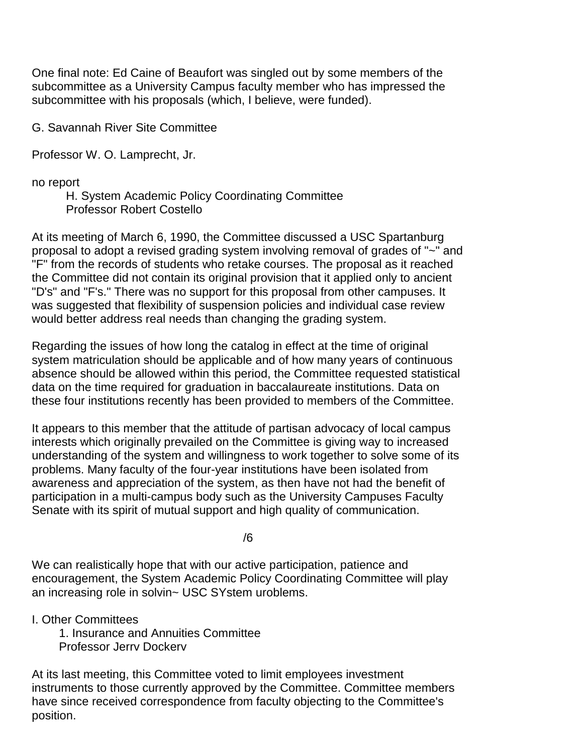One final note: Ed Caine of Beaufort was singled out by some members of the subcommittee as a University Campus faculty member who has impressed the subcommittee with his proposals (which, I believe, were funded).

G. Savannah River Site Committee

Professor W. O. Lamprecht, Jr.

no report

H. System Academic Policy Coordinating Committee Professor Robert Costello

At its meeting of March 6, 1990, the Committee discussed a USC Spartanburg proposal to adopt a revised grading system involving removal of grades of "~" and "F" from the records of students who retake courses. The proposal as it reached the Committee did not contain its original provision that it applied only to ancient "D's" and "F's." There was no support for this proposal from other campuses. It was suggested that flexibility of suspension policies and individual case review would better address real needs than changing the grading system.

Regarding the issues of how long the catalog in effect at the time of original system matriculation should be applicable and of how many years of continuous absence should be allowed within this period, the Committee requested statistical data on the time required for graduation in baccalaureate institutions. Data on these four institutions recently has been provided to members of the Committee.

It appears to this member that the attitude of partisan advocacy of local campus interests which originally prevailed on the Committee is giving way to increased understanding of the system and willingness to work together to solve some of its problems. Many faculty of the four-year institutions have been isolated from awareness and appreciation of the system, as then have not had the benefit of participation in a multi-campus body such as the University Campuses Faculty Senate with its spirit of mutual support and high quality of communication.

/6

We can realistically hope that with our active participation, patience and encouragement, the System Academic Policy Coordinating Committee will play an increasing role in solvin~ USC SYstem uroblems.

I. Other Committees

1. Insurance and Annuities Committee Professor Jerrv Dockerv

At its last meeting, this Committee voted to limit employees investment instruments to those currently approved by the Committee. Committee members have since received correspondence from faculty objecting to the Committee's position.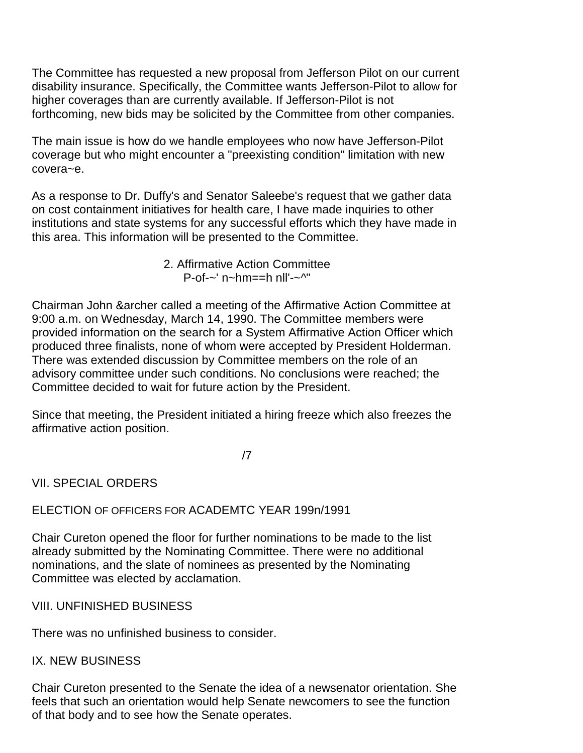The Committee has requested a new proposal from Jefferson Pilot on our current disability insurance. Specifically, the Committee wants Jefferson-Pilot to allow for higher coverages than are currently available. If Jefferson-Pilot is not forthcoming, new bids may be solicited by the Committee from other companies.

The main issue is how do we handle employees who now have Jefferson-Pilot coverage but who might encounter a "preexisting condition" limitation with new covera~e.

As a response to Dr. Duffy's and Senator Saleebe's request that we gather data on cost containment initiatives for health care, I have made inquiries to other institutions and state systems for any successful efforts which they have made in this area. This information will be presented to the Committee.

## 2. Affirmative Action Committee P-of-~' n~hm==h nll'-~^"

Chairman John &archer called a meeting of the Affirmative Action Committee at 9:00 a.m. on Wednesday, March 14, 1990. The Committee members were provided information on the search for a System Affirmative Action Officer which produced three finalists, none of whom were accepted by President Holderman. There was extended discussion by Committee members on the role of an advisory committee under such conditions. No conclusions were reached; the Committee decided to wait for future action by the President.

Since that meeting, the President initiated a hiring freeze which also freezes the affirmative action position.

/7

VII. SPECIAL ORDERS

ELECTION OF OFFICERS FOR ACADEMTC YEAR 199n/1991

Chair Cureton opened the floor for further nominations to be made to the list already submitted by the Nominating Committee. There were no additional nominations, and the slate of nominees as presented by the Nominating Committee was elected by acclamation.

VIII. UNFINISHED BUSINESS

There was no unfinished business to consider.

# IX. NEW BUSINESS

Chair Cureton presented to the Senate the idea of a newsenator orientation. She feels that such an orientation would help Senate newcomers to see the function of that body and to see how the Senate operates.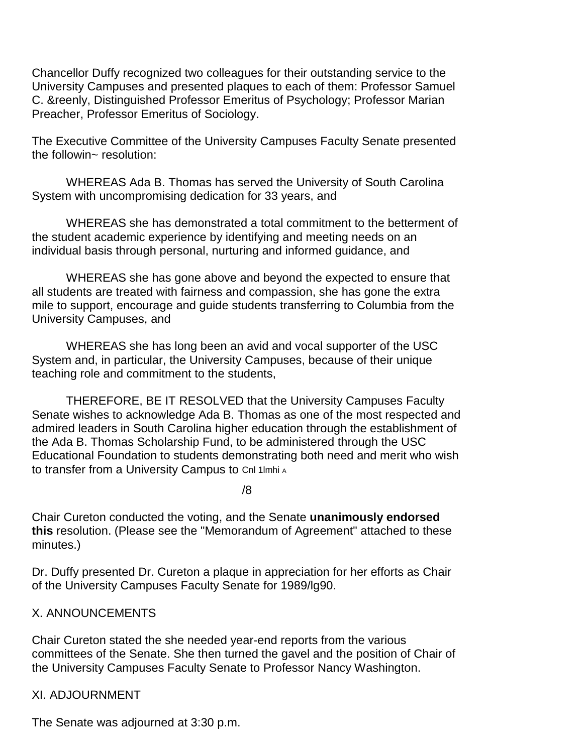Chancellor Duffy recognized two colleagues for their outstanding service to the University Campuses and presented plaques to each of them: Professor Samuel C. &reenly, Distinguished Professor Emeritus of Psychology; Professor Marian Preacher, Professor Emeritus of Sociology.

The Executive Committee of the University Campuses Faculty Senate presented the followin~ resolution:

WHEREAS Ada B. Thomas has served the University of South Carolina System with uncompromising dedication for 33 years, and

WHEREAS she has demonstrated a total commitment to the betterment of the student academic experience by identifying and meeting needs on an individual basis through personal, nurturing and informed guidance, and

WHEREAS she has gone above and beyond the expected to ensure that all students are treated with fairness and compassion, she has gone the extra mile to support, encourage and guide students transferring to Columbia from the University Campuses, and

WHEREAS she has long been an avid and vocal supporter of the USC System and, in particular, the University Campuses, because of their unique teaching role and commitment to the students,

THEREFORE, BE IT RESOLVED that the University Campuses Faculty Senate wishes to acknowledge Ada B. Thomas as one of the most respected and admired leaders in South Carolina higher education through the establishment of the Ada B. Thomas Scholarship Fund, to be administered through the USC Educational Foundation to students demonstrating both need and merit who wish to transfer from a University Campus to Cnl 1lmhi A

/8

Chair Cureton conducted the voting, and the Senate **unanimously endorsed this** resolution. (Please see the "Memorandum of Agreement" attached to these minutes.)

Dr. Duffy presented Dr. Cureton a plaque in appreciation for her efforts as Chair of the University Campuses Faculty Senate for 1989/lg90.

# X. ANNOUNCEMENTS

Chair Cureton stated the she needed year-end reports from the various committees of the Senate. She then turned the gavel and the position of Chair of the University Campuses Faculty Senate to Professor Nancy Washington.

# XI. ADJOURNMENT

The Senate was adjourned at 3:30 p.m.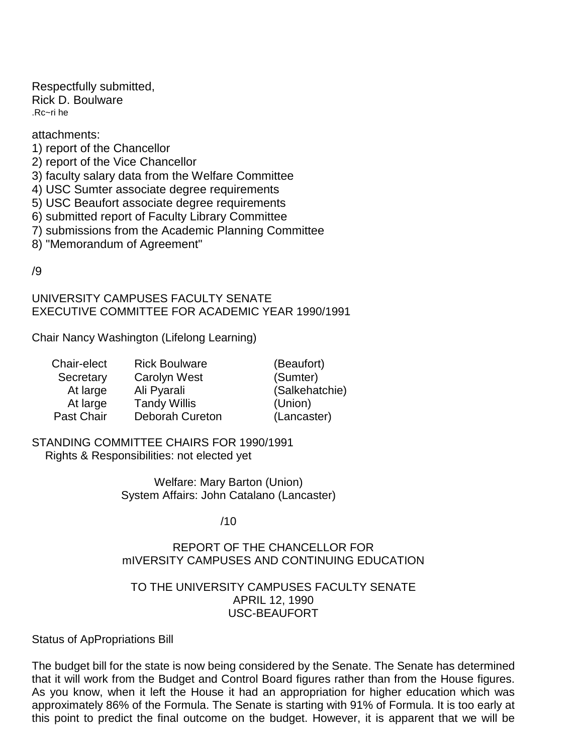Respectfully submitted, Rick D. Boulware .Rc~ri he

attachments:

- 1) report of the Chancellor
- 2) report of the Vice Chancellor
- 3) faculty salary data from the Welfare Committee
- 4) USC Sumter associate degree requirements
- 5) USC Beaufort associate degree requirements
- 6) submitted report of Faculty Library Committee
- 7) submissions from the Academic Planning Committee
- 8) "Memorandum of Agreement"

/9

UNIVERSITY CAMPUSES FACULTY SENATE EXECUTIVE COMMITTEE FOR ACADEMIC YEAR 1990/1991

Chair Nancy Washington (Lifelong Learning)

| Chair-elect | <b>Rick Boulware</b>   | (Beaufort)     |
|-------------|------------------------|----------------|
| Secretary   | <b>Carolyn West</b>    | (Sumter)       |
| At large    | Ali Pyarali            | (Salkehatchie) |
| At large    | <b>Tandy Willis</b>    | (Union)        |
| Past Chair  | <b>Deborah Cureton</b> | (Lancaster)    |

STANDING COMMITTEE CHAIRS FOR 1990/1991 Rights & Responsibilities: not elected yet

> Welfare: Mary Barton (Union) System Affairs: John Catalano (Lancaster)

> > $/10$

## REPORT OF THE CHANCELLOR FOR mIVERSITY CAMPUSES AND CONTINUING EDUCATION

## TO THE UNIVERSITY CAMPUSES FACULTY SENATE APRIL 12, 1990 USC-BEAUFORT

Status of ApPropriations Bill

The budget bill for the state is now being considered by the Senate. The Senate has determined that it will work from the Budget and Control Board figures rather than from the House figures. As you know, when it left the House it had an appropriation for higher education which was approximately 86% of the Formula. The Senate is starting with 91% of Formula. It is too early at this point to predict the final outcome on the budget. However, it is apparent that we will be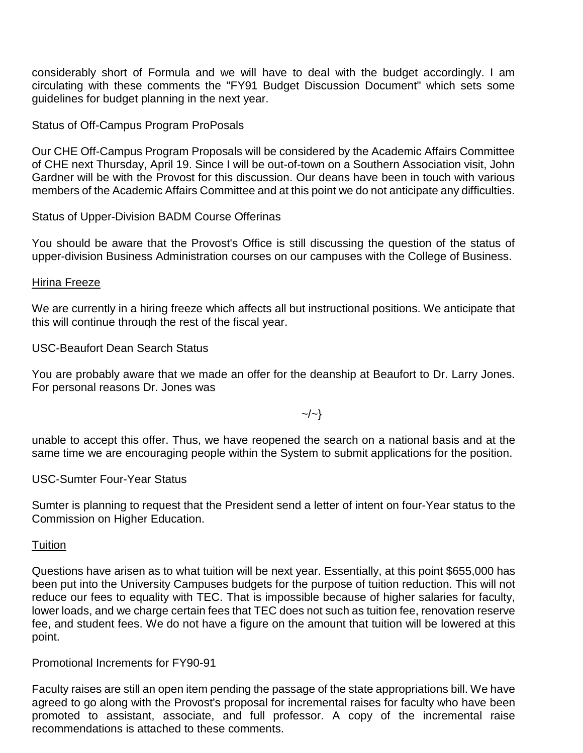considerably short of Formula and we will have to deal with the budget accordingly. I am circulating with these comments the "FY91 Budget Discussion Document" which sets some guidelines for budget planning in the next year.

Status of Off-Campus Program ProPosals

Our CHE Off-Campus Program Proposals will be considered by the Academic Affairs Committee of CHE next Thursday, April 19. Since I will be out-of-town on a Southern Association visit, John Gardner will be with the Provost for this discussion. Our deans have been in touch with various members of the Academic Affairs Committee and at this point we do not anticipate any difficulties.

Status of Upper-Division BADM Course Offerinas

You should be aware that the Provost's Office is still discussing the question of the status of upper-division Business Administration courses on our campuses with the College of Business.

#### Hirina Freeze

We are currently in a hiring freeze which affects all but instructional positions. We anticipate that this will continue throuqh the rest of the fiscal year.

USC-Beaufort Dean Search Status

You are probably aware that we made an offer for the deanship at Beaufort to Dr. Larry Jones. For personal reasons Dr. Jones was

 $\sim/\sim\rangle$ 

unable to accept this offer. Thus, we have reopened the search on a national basis and at the same time we are encouraging people within the System to submit applications for the position.

#### USC-Sumter Four-Year Status

Sumter is planning to request that the President send a letter of intent on four-Year status to the Commission on Higher Education.

#### **Tuition**

Questions have arisen as to what tuition will be next year. Essentially, at this point \$655,000 has been put into the University Campuses budgets for the purpose of tuition reduction. This will not reduce our fees to equality with TEC. That is impossible because of higher salaries for faculty, lower loads, and we charge certain fees that TEC does not such as tuition fee, renovation reserve fee, and student fees. We do not have a figure on the amount that tuition will be lowered at this point.

Promotional Increments for FY90-91

Faculty raises are still an open item pending the passage of the state appropriations bill. We have agreed to go along with the Provost's proposal for incremental raises for faculty who have been promoted to assistant, associate, and full professor. A copy of the incremental raise recommendations is attached to these comments.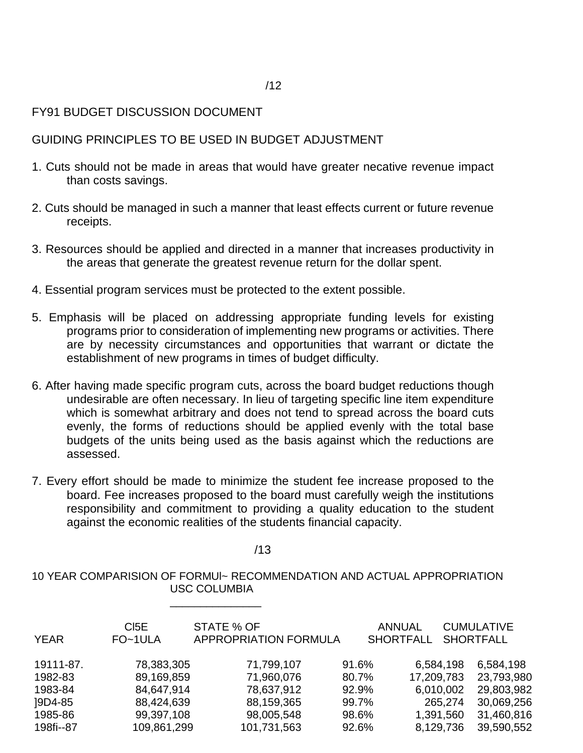## FY91 BUDGET DISCUSSION DOCUMENT

## GUIDING PRINCIPLES TO BE USED IN BUDGET ADJUSTMENT

- 1. Cuts should not be made in areas that would have greater necative revenue impact than costs savings.
- 2. Cuts should be managed in such a manner that least effects current or future revenue receipts.
- 3. Resources should be applied and directed in a manner that increases productivity in the areas that generate the greatest revenue return for the dollar spent.
- 4. Essential program services must be protected to the extent possible.
- 5. Emphasis will be placed on addressing appropriate funding levels for existing programs prior to consideration of implementing new programs or activities. There are by necessity circumstances and opportunities that warrant or dictate the establishment of new programs in times of budget difficulty.
- 6. After having made specific program cuts, across the board budget reductions though undesirable are often necessary. In lieu of targeting specific line item expenditure which is somewhat arbitrary and does not tend to spread across the board cuts evenly, the forms of reductions should be applied evenly with the total base budgets of the units being used as the basis against which the reductions are assessed.
- 7. Every effort should be made to minimize the student fee increase proposed to the board. Fee increases proposed to the board must carefully weigh the institutions responsibility and commitment to providing a quality education to the student against the economic realities of the students financial capacity.

/13

10 YEAR COMPARISION OF FORMUl~ RECOMMENDATION AND ACTUAL APPROPRIATION USC COLUMBIA

\_\_\_\_\_\_\_\_\_\_\_\_\_\_\_

| <b>YEAR</b> | CI5E<br>FO~1ULA | STATE % OF<br><b>APPROPRIATION FORMULA</b> | <b>ANNUAL</b><br><b>SHORTFALL</b> |            | <b>CUMULATIVE</b><br><b>SHORTFALL</b> |
|-------------|-----------------|--------------------------------------------|-----------------------------------|------------|---------------------------------------|
| 19111-87.   | 78,383,305      | 71,799,107                                 | 91.6%                             | 6,584,198  | 6,584,198                             |
| 1982-83     | 89,169,859      | 71,960,076                                 | 80.7%                             | 17,209,783 | 23,793,980                            |
| 1983-84     | 84,647,914      | 78,637,912                                 | 92.9%                             | 6,010,002  | 29,803,982                            |
| ]9D4-85     | 88,424,639      | 88,159,365                                 | 99.7%                             | 265,274    | 30,069,256                            |
| 1985-86     | 99,397,108      | 98,005,548                                 | 98.6%                             | 1,391,560  | 31,460,816                            |
| 198fi--87   | 109,861,299     | 101,731,563                                | 92.6%                             | 8,129,736  | 39,590,552                            |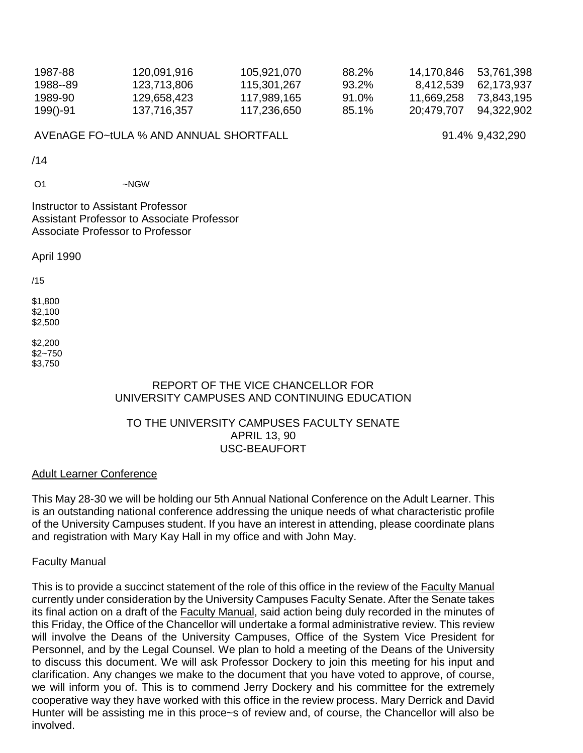| 1987-88  | 120,091,916 | 105,921,070 | 88.2% |            | 14,170,846 53,761,398 |
|----------|-------------|-------------|-------|------------|-----------------------|
| 1988--89 | 123.713.806 | 115.301.267 | 93.2% |            | 8,412,539 62,173,937  |
| 1989-90  | 129.658.423 | 117,989,165 | 91.0% | 11.669.258 | 73.843.195            |
| 199()-91 | 137.716.357 | 117.236.650 | 85.1% |            | 20:479.707 94.322.902 |

#### AVEnAGE FO~tULA % AND ANNUAL SHORTFALL 91.4% 9,432,290

/14

O1 ~NGW

Instructor to Assistant Professor Assistant Professor to Associate Professor Associate Professor to Professor

April 1990

/15

\$1,800 \$2,100 \$2,500

\$2,200 \$2~750 \$3,750

#### REPORT OF THE VICE CHANCELLOR FOR UNIVERSITY CAMPUSES AND CONTINUING EDUCATION

#### TO THE UNIVERSITY CAMPUSES FACULTY SENATE APRIL 13, 90 USC-BEAUFORT

#### Adult Learner Conference

This May 28-30 we will be holding our 5th Annual National Conference on the Adult Learner. This is an outstanding national conference addressing the unique needs of what characteristic profile of the University Campuses student. If you have an interest in attending, please coordinate plans and registration with Mary Kay Hall in my office and with John May.

#### Faculty Manual

This is to provide a succinct statement of the role of this office in the review of the Faculty Manual currently under consideration by the University Campuses Faculty Senate. After the Senate takes its final action on a draft of the Faculty Manual, said action being duly recorded in the minutes of this Friday, the Office of the Chancellor will undertake a formal administrative review. This review will involve the Deans of the University Campuses, Office of the System Vice President for Personnel, and by the Legal Counsel. We plan to hold a meeting of the Deans of the University to discuss this document. We will ask Professor Dockery to join this meeting for his input and clarification. Any changes we make to the document that you have voted to approve, of course, we will inform you of. This is to commend Jerry Dockery and his committee for the extremely cooperative way they have worked with this office in the review process. Mary Derrick and David Hunter will be assisting me in this proce~s of review and, of course, the Chancellor will also be involved.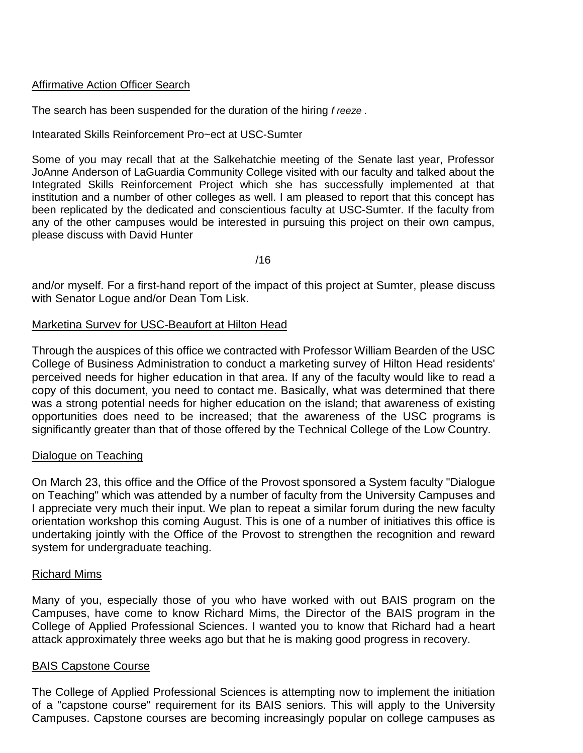## Affirmative Action Officer Search

The search has been suspended for the duration of the hiring *f reeze .*

Intearated Skills Reinforcement Pro~ect at USC-Sumter

Some of you may recall that at the Salkehatchie meeting of the Senate last year, Professor JoAnne Anderson of LaGuardia Community College visited with our faculty and talked about the Integrated Skills Reinforcement Project which she has successfully implemented at that institution and a number of other colleges as well. I am pleased to report that this concept has been replicated by the dedicated and conscientious faculty at USC-Sumter. If the faculty from any of the other campuses would be interested in pursuing this project on their own campus, please discuss with David Hunter

/16

and/or myself. For a first-hand report of the impact of this project at Sumter, please discuss with Senator Logue and/or Dean Tom Lisk.

## Marketina Survev for USC-Beaufort at Hilton Head

Through the auspices of this office we contracted with Professor William Bearden of the USC College of Business Administration to conduct a marketing survey of Hilton Head residents' perceived needs for higher education in that area. If any of the faculty would like to read a copy of this document, you need to contact me. Basically, what was determined that there was a strong potential needs for higher education on the island; that awareness of existing opportunities does need to be increased; that the awareness of the USC programs is significantly greater than that of those offered by the Technical College of the Low Country.

## Dialogue on Teaching

On March 23, this office and the Office of the Provost sponsored a System faculty "Dialogue on Teaching" which was attended by a number of faculty from the University Campuses and I appreciate very much their input. We plan to repeat a similar forum during the new faculty orientation workshop this coming August. This is one of a number of initiatives this office is undertaking jointly with the Office of the Provost to strengthen the recognition and reward system for undergraduate teaching.

#### Richard Mims

Many of you, especially those of you who have worked with out BAIS program on the Campuses, have come to know Richard Mims, the Director of the BAIS program in the College of Applied Professional Sciences. I wanted you to know that Richard had a heart attack approximately three weeks ago but that he is making good progress in recovery.

#### BAIS Capstone Course

The College of Applied Professional Sciences is attempting now to implement the initiation of a "capstone course" requirement for its BAIS seniors. This will apply to the University Campuses. Capstone courses are becoming increasingly popular on college campuses as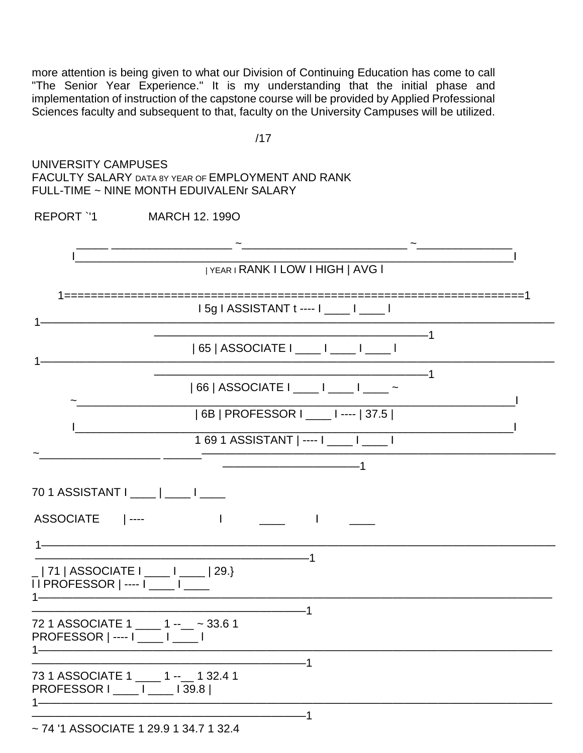more attention is being given to what our Division of Continuing Education has come to call "The Senior Year Experience." It is my understanding that the initial phase and implementation of instruction of the capstone course will be provided by Applied Professional Sciences faculty and subsequent to that, faculty on the University Campuses will be utilized.

/17

UNIVERSITY CAMPUSES FACULTY SALARY DATA 8Y YEAR OF EMPLOYMENT AND RANK FULL-TIME ~ NINE MONTH EDUIVALENr SALARY

| REPORT ''1                                                                | <b>MARCH 12. 1990</b>                                    |  |
|---------------------------------------------------------------------------|----------------------------------------------------------|--|
|                                                                           | <u> 1980 - Jan James, Amerikaansk politiker (* 1905)</u> |  |
|                                                                           | YEAR I RANK I LOW I HIGH   AVG I                         |  |
|                                                                           | 5g   ASSISTANT t ----   ____   ____                      |  |
|                                                                           |                                                          |  |
|                                                                           | 65   ASSOCIATE   ____   ____   ____                      |  |
|                                                                           | 66   ASSOCIATE   ____   ____   ____ ~                    |  |
|                                                                           | 6B   PROFESSOR   ____   ----   37.5                      |  |
|                                                                           | 1 69 1 ASSISTANT   ----   ____   ____                    |  |
|                                                                           |                                                          |  |
| 70 1 ASSISTANT   ____   ____   ____                                       |                                                          |  |
| ASSOCIATE  ----                                                           |                                                          |  |
|                                                                           |                                                          |  |
| 71   ASSOCIATE   ____   ____   29.}<br>    PROFESSOR   ----   ____   ____ |                                                          |  |
|                                                                           | $\overline{\phantom{0}}$ 1                               |  |
| 72 1 ASSOCIATE 1 ____ 1 --__ ~ 33.6 1<br>$PROFESSOR$   ----   ____   ____ |                                                          |  |
|                                                                           | -1                                                       |  |
| 73 1 ASSOCIATE 1 ____ 1 -- __ 1 32.4 1<br>PROFESSOR I ____ I ____ 139.8   |                                                          |  |
|                                                                           |                                                          |  |
| ~74 '1 ASSOCIATE 1 29.9 1 34.7 1 32.4                                     |                                                          |  |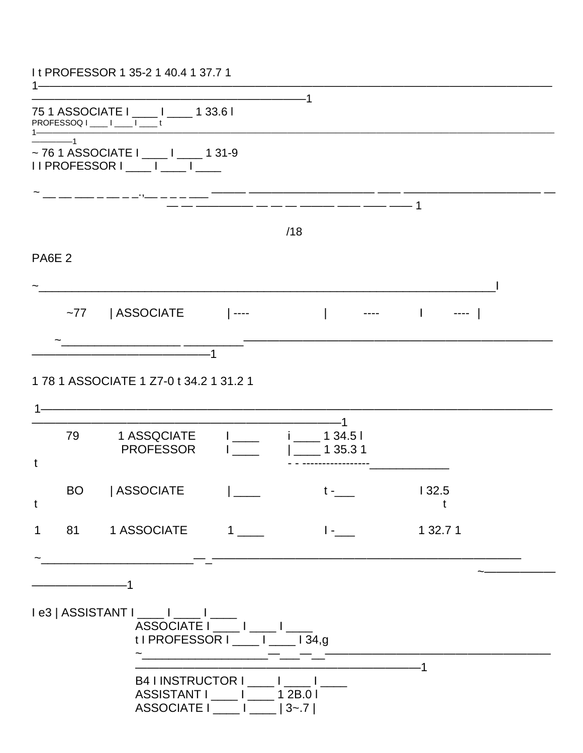|                   | 1t PROFESSOR 1 35-2 1 40.4 1 37.7 1                                                                               |                                                                                                              |                         |          |  |
|-------------------|-------------------------------------------------------------------------------------------------------------------|--------------------------------------------------------------------------------------------------------------|-------------------------|----------|--|
|                   | 75 1 ASSOCIATE   ___   ___ 1 33.6  <br>PROFESSOQ $1 \_ 1 \_ 1 \_ 1 \_ 1$                                          |                                                                                                              | -1                      |          |  |
|                   | ~76 1 ASSOCIATE I ____ I ____ 1 31-9<br>$I$   PROFESSOR $I$ <sub>____</sub> $I$ <sub>____</sub> $I$ <sub>__</sub> |                                                                                                              |                         |          |  |
|                   | __ ___ ___ _ __ __ _ __ __ __ _ _ __ _                                                                            |                                                                                                              |                         |          |  |
|                   |                                                                                                                   |                                                                                                              | /18                     |          |  |
| PA6E <sub>2</sub> |                                                                                                                   |                                                                                                              |                         |          |  |
|                   | ~77   ASSOCIATE   ----                                                                                            |                                                                                                              |                         |          |  |
|                   |                                                                                                                   |                                                                                                              |                         |          |  |
|                   | 178 1 ASSOCIATE 1 Z7-0 t 34.2 1 31.2 1                                                                            |                                                                                                              |                         |          |  |
|                   | <u> 1980 - Jan Barat, Amerikaansk politiker (* 1901)</u>                                                          |                                                                                                              | -1                      |          |  |
| 79<br>t           | 1 ASSQCIATE<br><b>PROFESSOR</b>                                                                                   | $I$ $i$ 1 34.5 l                                                                                             | 1 35.3 1                |          |  |
| t                 | BO   ASSOCIATE   ____                                                                                             |                                                                                                              | $t -$                   | 132.5    |  |
| $\mathbf 1$       | 81  1 ASSOCIATE  1 ____                                                                                           |                                                                                                              | and the property of the | 1 32.7 1 |  |
|                   | —————————1                                                                                                        |                                                                                                              |                         |          |  |
|                   | e3   ASSISTANT   ____   ____   ____                                                                               | ASSOCIATE I ____ I ____ I ____<br>t I PROFESSOR I ____ I ____ I 34,g                                         |                         |          |  |
|                   |                                                                                                                   | B4 I INSTRUCTOR I ____ I ____ I ____<br>ASSISTANT   ____   ____ 1 2B.0  <br>ASSOCIATE I _____ I _____   3~.7 |                         | -1       |  |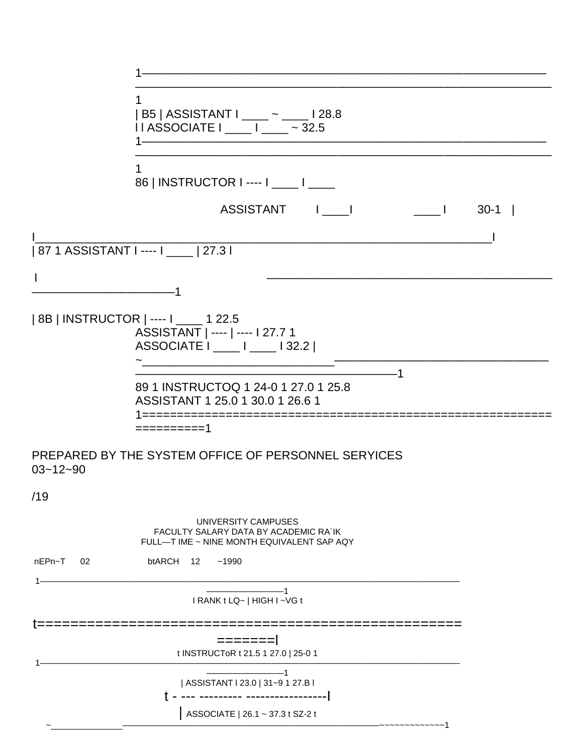|                | B5   ASSISTANT I ____ ~ ____   28.8<br>II ASSOCIATE I ____ I ____ ~ 32.5                                                                                                                                                                                                                                                                             |
|----------------|------------------------------------------------------------------------------------------------------------------------------------------------------------------------------------------------------------------------------------------------------------------------------------------------------------------------------------------------------|
|                | 86   INSTRUCTOR   ----   ____   ____                                                                                                                                                                                                                                                                                                                 |
|                | ASSISTANT I I<br>30-1                                                                                                                                                                                                                                                                                                                                |
|                | 87 1 ASSISTANT   ----   ____   27.3                                                                                                                                                                                                                                                                                                                  |
|                |                                                                                                                                                                                                                                                                                                                                                      |
|                | 8B   INSTRUCTOR   ----   ____ 1 22.5<br>ASSISTANT   ----   ----   27.7 1<br>ASSOCIATE   ____   ____   32.2  <br><u> 1989 - Johann Harry Harry Harry Harry Harry Harry Harry Harry Harry Harry Harry Harry Harry Harry Harry Harry Harry Harry Harry Harry Harry Harry Harry Harry Harry Harry Harry Harry Harry Harry Harry Harry Harry Harry Ha</u> |
|                | 89 1 INSTRUCTOQ 1 24-0 1 27.0 1 25.8<br>ASSISTANT 1 25.0 1 30.0 1 26.6 1<br>1===================================                                                                                                                                                                                                                                     |
|                | ==========1                                                                                                                                                                                                                                                                                                                                          |
| $03 - 12 - 90$ | PREPARED BY THE SYSTEM OFFICE OF PERSONNEL SERYICES                                                                                                                                                                                                                                                                                                  |
| /19            |                                                                                                                                                                                                                                                                                                                                                      |
|                | UNIVERSITY CAMPUSES<br>FACULTY SALARY DATA BY ACADEMIC RA`IK<br>FULL-T IME ~ NINE MONTH EQUIVALENT SAP AQY                                                                                                                                                                                                                                           |
| nEPn~T 02      | btARCH 12<br>~1990                                                                                                                                                                                                                                                                                                                                   |
|                | I RANK t LQ~   HIGH I ~VG t                                                                                                                                                                                                                                                                                                                          |
|                | ==========                                                                                                                                                                                                                                                                                                                                           |
|                | =======<br>t INSTRUCToR t 21.5 1 27.0   25-0 1                                                                                                                                                                                                                                                                                                       |
|                | $\overline{\phantom{a}}$ 1<br>  ASSISTANT   23.0   31~9 1 27.B                                                                                                                                                                                                                                                                                       |
|                | ASSOCIATE   26.1 ~ 37.3 t SZ-2 t                                                                                                                                                                                                                                                                                                                     |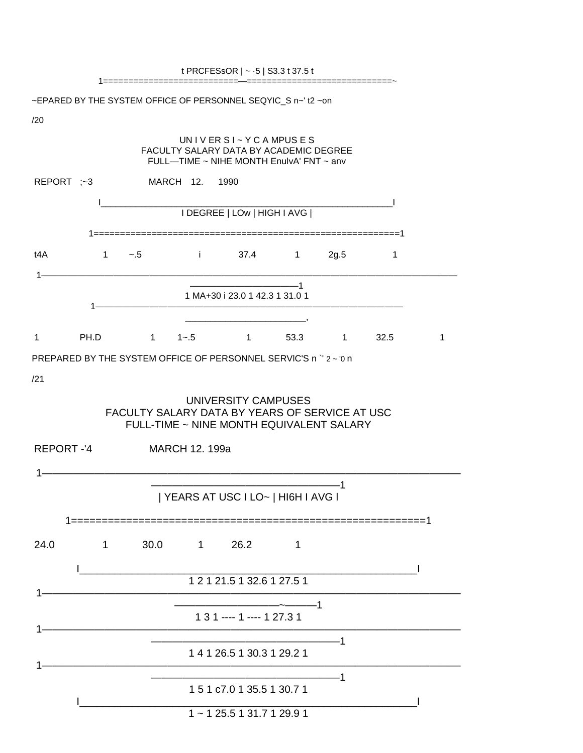|             |           | 1=================                                            |                               | t PRCFESsOR   ~ - 5   S3.3 t 37.5 t                                                                                                                           |             |          |              |   |
|-------------|-----------|---------------------------------------------------------------|-------------------------------|---------------------------------------------------------------------------------------------------------------------------------------------------------------|-------------|----------|--------------|---|
|             |           | ~EPARED BY THE SYSTEM OFFICE OF PERSONNEL SEQYIC_S n~' t2 ~on |                               |                                                                                                                                                               |             |          |              |   |
| /20         |           |                                                               |                               |                                                                                                                                                               |             |          |              |   |
|             |           |                                                               |                               | UNIVERSI~YCAMPUSES<br>FACULTY SALARY DATA BY ACADEMIC DEGREE<br>FULL-TIME ~ NIHE MONTH EnulvA' FNT ~ anv                                                      |             |          |              |   |
| REPORT :~3  |           |                                                               | MARCH 12. 1990                |                                                                                                                                                               |             |          |              |   |
|             |           |                                                               |                               | <b>IDEGREE   LOw   HIGH I AVG  </b>                                                                                                                           |             |          |              |   |
|             |           |                                                               |                               |                                                                                                                                                               |             |          |              |   |
| t4A         | $1 \quad$ | $-.5$                                                         | $\mathbf{i}$ and $\mathbf{j}$ |                                                                                                                                                               | 37.4 1 2g.5 |          | $\mathbf{1}$ |   |
|             |           |                                                               |                               | $\frac{1}{1}$<br>1 MA+30 i 23.0 1 42.3 1 31.0 1                                                                                                               |             |          |              |   |
|             |           |                                                               |                               |                                                                                                                                                               |             |          |              |   |
| $\mathbf 1$ | PH.D      | $1 - 1 - .5$                                                  |                               | 1 53.3                                                                                                                                                        |             | $\sim$ 1 | 32.5         | 1 |
|             |           | PREPARED BY THE SYSTEM OFFICE OF PERSONNEL SERVIC'S n "2~'0 n |                               |                                                                                                                                                               |             |          |              |   |
| /21         |           |                                                               |                               |                                                                                                                                                               |             |          |              |   |
| REPORT-'4   |           | FACULTY SALARY DATA BY YEARS OF SERVICE AT USC                | <b>MARCH 12. 199a</b>         | UNIVERSITY CAMPUSES<br>FULL-TIME ~ NINE MONTH EQUIVALENT SALARY                                                                                               |             |          |              |   |
|             |           |                                                               |                               |                                                                                                                                                               |             |          |              |   |
|             |           |                                                               |                               | <u> 1989 - Johann John Stone, market fan it ferskearre fan it ferskearre fan it ferskearre fan it ferskearre fan i</u><br>  YEARS AT USC I LO~   HI6H I AVG I |             | -1       |              |   |
| 24.0        | 1≕        | 1 30.0 1 26.2                                                 |                               |                                                                                                                                                               | 1           |          |              |   |
|             |           |                                                               |                               | 1 2 1 21.5 1 32.6 1 27.5 1                                                                                                                                    |             |          |              |   |
|             |           |                                                               |                               |                                                                                                                                                               |             |          |              |   |
|             |           |                                                               |                               | 1 3 1 ---- 1 ---- 1 27.3 1                                                                                                                                    |             |          |              |   |
|             |           |                                                               |                               | 1 4 1 26.5 1 30.3 1 29.2 1                                                                                                                                    |             | $-1$     |              |   |
|             |           |                                                               |                               | 151 c7.0135.5130.71                                                                                                                                           |             | -1       |              |   |
|             |           |                                                               |                               | $1 - 125.5131.7129.91$                                                                                                                                        |             |          |              |   |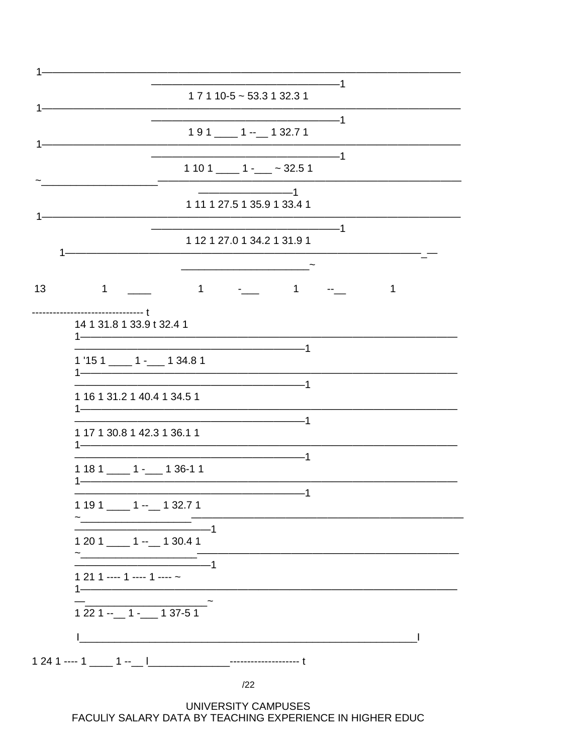| $17110 - 5 \sim 53.3132.31$                                                                                                                                                                                                                                                                                                                                                                                                                                                                                    |
|----------------------------------------------------------------------------------------------------------------------------------------------------------------------------------------------------------------------------------------------------------------------------------------------------------------------------------------------------------------------------------------------------------------------------------------------------------------------------------------------------------------|
| $191$ _____ 1 --___ 1 32.7 1                                                                                                                                                                                                                                                                                                                                                                                                                                                                                   |
| <u> 2008 - 2009 - 2009 - 2009 - 2009 - 2009 - 2009 - 2009 - 2009 - 2009 - 2009 - 2009 - 2009 - 2009 - 2009 - 200</u><br>$1101$ _____ $1 -$ ____ ~ 32.5 1                                                                                                                                                                                                                                                                                                                                                       |
| $\frac{1}{2}$<br>1 11 1 27.5 1 35.9 1 33.4 1                                                                                                                                                                                                                                                                                                                                                                                                                                                                   |
| 1 12 1 27 0 1 34 2 1 31 9 1                                                                                                                                                                                                                                                                                                                                                                                                                                                                                    |
| 1                                                                                                                                                                                                                                                                                                                                                                                                                                                                                                              |
| 14 1 31.8 1 33.9 t 32.4 1<br><u>1 ———————————————————————</u>                                                                                                                                                                                                                                                                                                                                                                                                                                                  |
| $1'151$ _____ 1 -____ 1 34.8 1                                                                                                                                                                                                                                                                                                                                                                                                                                                                                 |
| 1 16 1 31.2 1 40.4 1 34.5 1                                                                                                                                                                                                                                                                                                                                                                                                                                                                                    |
| $\overline{\phantom{a}}$ $\overline{\phantom{a}}$ $\overline{\phantom{a}}$ $\overline{\phantom{a}}$ $\overline{\phantom{a}}$ $\overline{\phantom{a}}$ $\overline{\phantom{a}}$ $\overline{\phantom{a}}$ $\overline{\phantom{a}}$ $\overline{\phantom{a}}$ $\overline{\phantom{a}}$ $\overline{\phantom{a}}$ $\overline{\phantom{a}}$ $\overline{\phantom{a}}$ $\overline{\phantom{a}}$ $\overline{\phantom{a}}$ $\overline{\phantom{a}}$ $\overline{\phantom{a}}$ $\overline{\$<br>1 17 1 30.8 1 42.3 1 36.1 1 |
| $1181$ _____ $1 -$ ____ 1 36-1 1                                                                                                                                                                                                                                                                                                                                                                                                                                                                               |
| -1<br>1 19 1 ____ 1 --__ 1 32.7 1                                                                                                                                                                                                                                                                                                                                                                                                                                                                              |
| $1201$ _____ $1 -$ ____ 1 30.4 1                                                                                                                                                                                                                                                                                                                                                                                                                                                                               |
| $1211$ ---- 1 ---- 1 ---- ~                                                                                                                                                                                                                                                                                                                                                                                                                                                                                    |
| $\frac{1}{1}$ 22 1 -- 1 - 1 37-5 1                                                                                                                                                                                                                                                                                                                                                                                                                                                                             |
| <u> 1999 - Johann John Stein, fransk politik (f. 1989)</u>                                                                                                                                                                                                                                                                                                                                                                                                                                                     |
| /22                                                                                                                                                                                                                                                                                                                                                                                                                                                                                                            |
|                                                                                                                                                                                                                                                                                                                                                                                                                                                                                                                |

UNIVERSITY CAMPUSES<br>FACULIY SALARY DATA BY TEACHING EXPERIENCE IN HIGHER EDUC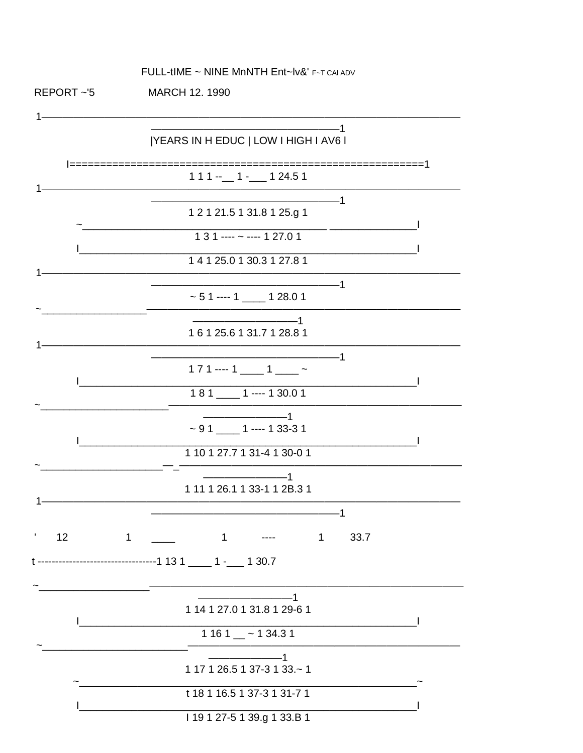FULL-tIME ~ NINE MnNTH Ent~Iv&' F~T CAI ADV

REPORT~'5 MARCH 12. 1990

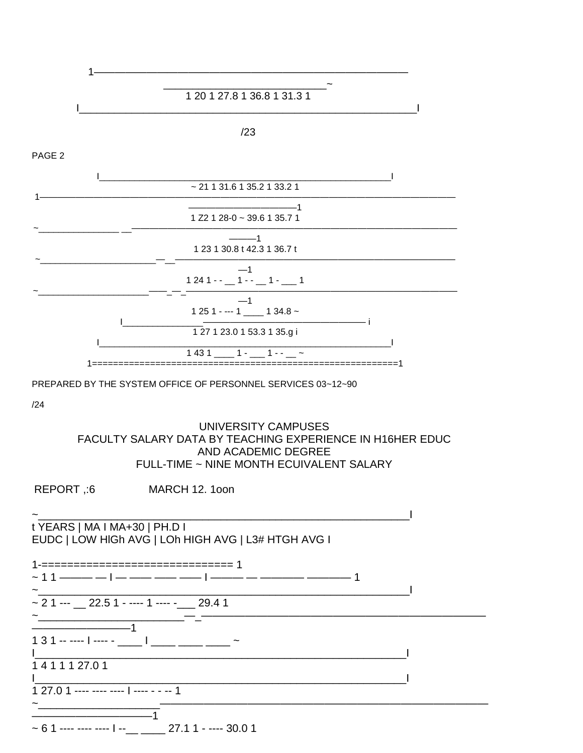

 $\sim$  6 1 ---- ---- ---- | -- 27.1 1 - ---- 30.0 1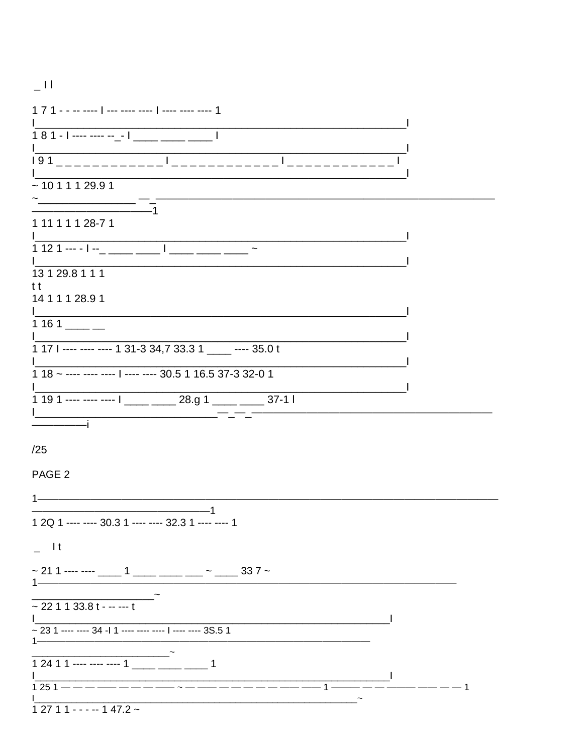| — ' '                                                                                                                                         |
|-----------------------------------------------------------------------------------------------------------------------------------------------|
| 171 - - -- ---   --- ---- ----   ---- ---- 1                                                                                                  |
| $181 - 1 - 1 - 1 - 1 - 1$                                                                                                                     |
|                                                                                                                                               |
| ~1011129.91                                                                                                                                   |
|                                                                                                                                               |
| 1 11 1 1 1 28-7 1                                                                                                                             |
|                                                                                                                                               |
| 13 1 29.8 1 1 1<br>t t                                                                                                                        |
| 14 1 1 1 28.9 1                                                                                                                               |
| $\frac{1}{1161}$                                                                                                                              |
| <u> </u><br>  17   ---- ---- ---- 1 31-3 34,7 33.3 1 _____ ---- 35.0 t                                                                        |
|                                                                                                                                               |
| $\frac{1}{1}$ 19 1 ---- ---- ---- $\frac{1}{1}$ $\frac{28.9}{1}$ $\frac{1}{1}$ $\frac{37.1}{1}$                                               |
|                                                                                                                                               |
| /25                                                                                                                                           |
| PAGE <sub>2</sub>                                                                                                                             |
|                                                                                                                                               |
| $-1$<br>1 2Q 1 ---- ---- 30.3 1 ---- ---- 32.3 1 ---- ---- 1                                                                                  |
|                                                                                                                                               |
| $\overline{a}$ lt                                                                                                                             |
| $\sim$ 21 1 ---- ---- $\_\_\_\_\_\_\_\_\_\_\_\_\_\_\_\_\_$ 1 $\_\_\_\_\_\_\_\_\_\_\_\_\_\_$ $\sim$ $\_\_\_\_\_$ 33 7 $\sim$                   |
| $\sim$ 22 1 1 33.8 t - -- --- t                                                                                                               |
|                                                                                                                                               |
|                                                                                                                                               |
|                                                                                                                                               |
| $\frac{1}{2}$ - $\frac{1}{2}$ - $\frac{1}{2}$ - $\frac{1}{2}$ - $\frac{1}{2}$ - $\frac{1}{2}$ - $\frac{1}{2}$ - $\frac{1}{2}$ - $\frac{1}{2}$ |

 $12711...147.2$ 

 $\overline{11}$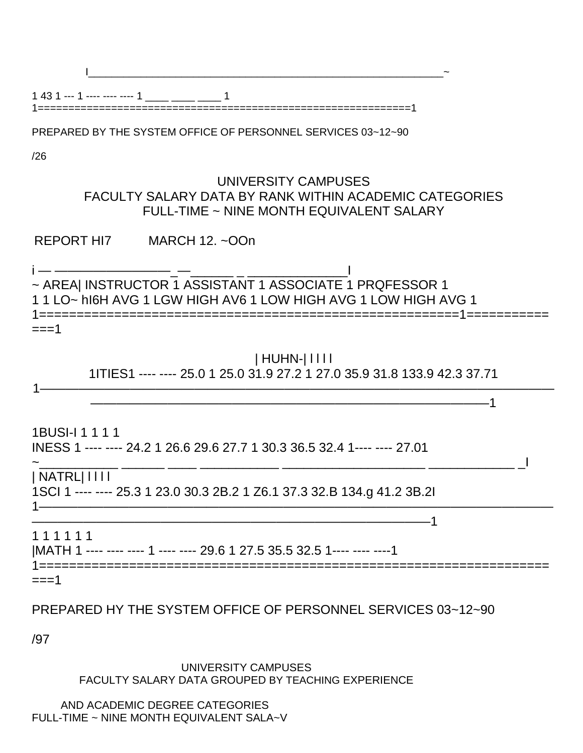| PREPARED BY THE SYSTEM OFFICE OF PERSONNEL SERVICES 03~12~90                                                                     |
|----------------------------------------------------------------------------------------------------------------------------------|
| /26                                                                                                                              |
| <b>UNIVERSITY CAMPUSES</b><br>FACULTY SALARY DATA BY RANK WITHIN ACADEMIC CATEGORIES<br>FULL-TIME ~ NINE MONTH EQUIVALENT SALARY |
| REPORT HI7 MARCH 12, ~00n                                                                                                        |
| 11 LO~ hI6H AVG 1 LGW HIGH AV6 1 LOW HIGH AVG 1 LOW HIGH AVG 1                                                                   |
| ===1                                                                                                                             |
| HUHN-         <br>1ITIES1 ---- ---- 25.0 1 25.0 31.9 27.2 1 27.0 35.9 31.8 133.9 42.3 37.71                                      |
|                                                                                                                                  |
| 1BUSI-11111<br>INESS 1 ---- ---- 24.2 1 26.6 29.6 27.7 1 30.3 36.5 32.4 1 ---- ---- 27.01                                        |
| NATRL <br>1SCI 1 ---- ---- 25.3 1 23.0 30.3 2B.2 1 Z6.1 37.3 32.B 134.g 41.2 3B.2I                                               |
| 111111<br> MATH 1 ---- ---- ---- 1 ---- ---- 29.6 1 27.5 35.5 32.5 1---- ---- ---- 1                                             |
| ===1                                                                                                                             |
| PREPARED HY THE SYSTEM OFFICE OF PERSONNEL SERVICES 03~12~90                                                                     |

/97

# UNIVERSITY CAMPUSES FACULTY SALARY DATA GROUPED BY TEACHING EXPERIENCE

AND ACADEMIC DEGREE CATEGORIES FULL-TIME ~ NINE MONTH EQUIVALENT SALA~V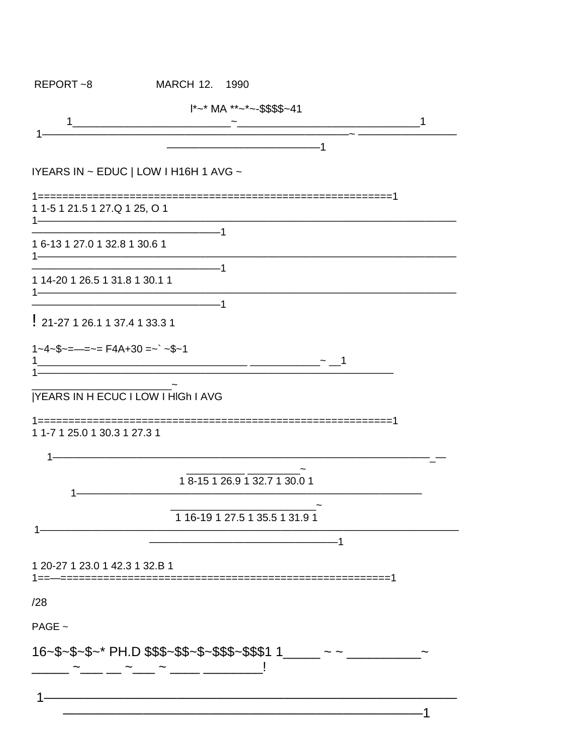| $I^* \sim^* MA^* \sim^* \sim -\$ \$ \$ - 41$<br>IYEARS IN ~ EDUC   LOW I H16H 1 AVG ~<br>1 1-5 1 21.5 1 27.Q 1 25, O 1<br><u> 2008 - Andrea Ann an Carl (b. 2014)</u><br>1 6-13 1 27.0 1 32.8 1 30.6 1 |
|--------------------------------------------------------------------------------------------------------------------------------------------------------------------------------------------------------|
|                                                                                                                                                                                                        |
|                                                                                                                                                                                                        |
|                                                                                                                                                                                                        |
|                                                                                                                                                                                                        |
|                                                                                                                                                                                                        |
|                                                                                                                                                                                                        |
|                                                                                                                                                                                                        |
|                                                                                                                                                                                                        |
| 1 14-20 1 26.5 1 31.8 1 30.1 1                                                                                                                                                                         |
|                                                                                                                                                                                                        |
| $!$ 21-27 1 26.1 1 37.4 1 33.3 1                                                                                                                                                                       |
| $1 - 4 - $ \sim = -2 = 44 + 30 = 22$                                                                                                                                                                   |
|                                                                                                                                                                                                        |
| YEARS IN H ECUC I LOW I HIGH I AVG                                                                                                                                                                     |
|                                                                                                                                                                                                        |
| 1 1-7 1 25.0 1 30.3 1 27.3 1                                                                                                                                                                           |
| <u> 2000 - 2000 - 2000 - 2000 - 2000 - 2000 - 2000 - 2000 - 2000 - 2000 - 2000 - 2000 - 2000 - 2000 - 2000 - 200</u>                                                                                   |
| 1 8-15 1 26.9 1 32.7 1 30.0 1                                                                                                                                                                          |
|                                                                                                                                                                                                        |
| 1 16-19 1 27.5 1 35.5 1 31.9 1                                                                                                                                                                         |
|                                                                                                                                                                                                        |
| 1 20-27 1 23.0 1 42.3 1 32.B 1                                                                                                                                                                         |
| ===========================                                                                                                                                                                            |
| /28                                                                                                                                                                                                    |
| PAGE $\sim$                                                                                                                                                                                            |
|                                                                                                                                                                                                        |
|                                                                                                                                                                                                        |
| <u> 2000 - Jan James James Jan James James Jan James James Jan James James Jan James James Jan Jan Jan Jan Jan J</u>                                                                                   |
| <u> 1989 - Johann John Stone, mars et al. (1989)</u>                                                                                                                                                   |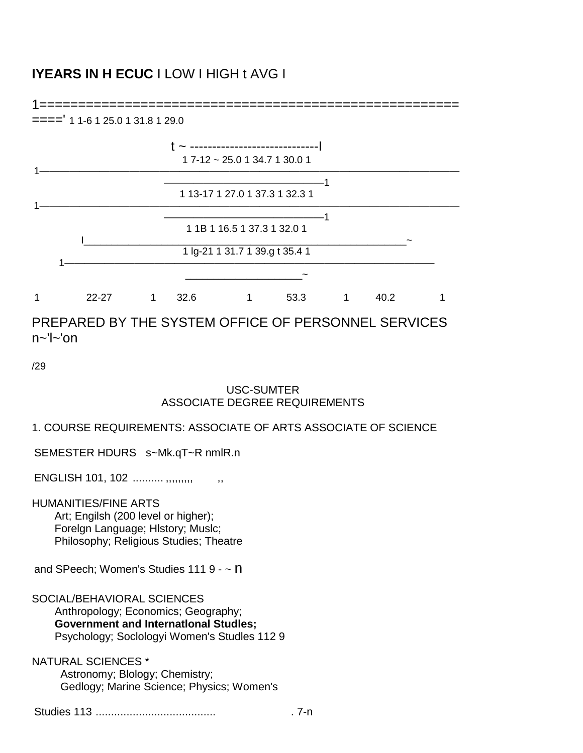# **IYEARS IN H ECUC** I LOW I HIGH t AVG I



 $n$ ~'l~'on

/29

## USC-SUMTER ASSOCIATE DEGREE REQUIREMENTS

# 1. COURSE REQUIREMENTS: ASSOCIATE OF ARTS ASSOCIATE OF SCIENCE

SEMESTER HDURS s~Mk.qT~R nmlR.n

ENGLISH 101, 102 .......... ,,,,,,,,, ,,

## HUMANITIES/FINE ARTS

Art; Engilsh (200 level or higher); Forelgn Language; Hlstory; Muslc; Philosophy; Religious Studies; Theatre

and SPeech; Women's Studies 111 9 - ~ n

SOCIAL/BEHAVIORAL SCIENCES Anthropology; Economics; Geography; **Government and Internatlonal Studles;** Psychology; Soclologyi Women's Studles 112 9

NATURAL SCIENCES \* Astronomy; Blology; Chemistry; Gedlogy; Marine Science; Physics; Women's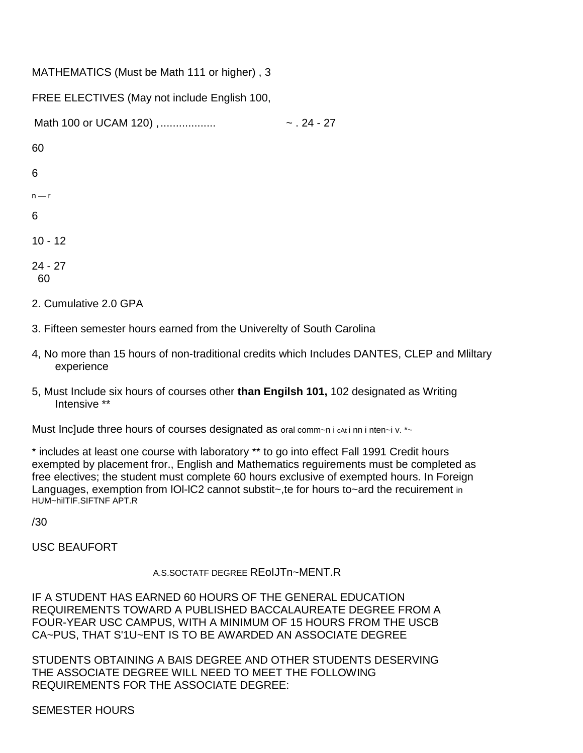FREE ELECTIVES (May not include English 100,

| Math 100 or UCAM 120), | $\sim$ . 24 - 27 |
|------------------------|------------------|
| 60                     |                  |
| 6                      |                  |
| $n - r$                |                  |
| $6\phantom{1}6$        |                  |
| $10 - 12$              |                  |
| $24 - 27$<br>60        |                  |

- 2. Cumulative 2.0 GPA
- 3. Fifteen semester hours earned from the Univerelty of South Carolina
- 4, No more than 15 hours of non-traditional credits which Includes DANTES, CLEP and Mliltary experience
- 5, Must Include six hours of courses other **than Engilsh 101,** 102 designated as Writing Intensive \*\*

Must Include three hours of courses designated as oral comm~n i cati nn i nten~i v. \*~

\* includes at least one course with laboratory \*\* to go into effect Fall 1991 Credit hours exempted by placement fror., English and Mathematics reguirements must be completed as free electives; the student must complete 60 hours exclusive of exempted hours. In Foreign Languages, exemption from IOI-IC2 cannot substit~, te for hours to~ard the recuirement in HUM~hilTIF.SIFTNF APT.R

/30

USC BEAUFORT

#### A.S.SOCTATF DEGREE REoIJTn~MENT.R

IF A STUDENT HAS EARNED 60 HOURS OF THE GENERAL EDUCATION REQUIREMENTS TOWARD A PUBLISHED BACCALAUREATE DEGREE FROM A FOUR-YEAR USC CAMPUS, WITH A MINIMUM OF 15 HOURS FROM THE USCB CA~PUS, THAT S'1U~ENT IS TO BE AWARDED AN ASSOCIATE DEGREE

STUDENTS OBTAINING A BAIS DEGREE AND OTHER STUDENTS DESERVING THE ASSOCIATE DEGREE WILL NEED TO MEET THE FOLLOWING REQUIREMENTS FOR THE ASSOCIATE DEGREE:

#### SEMESTER HOURS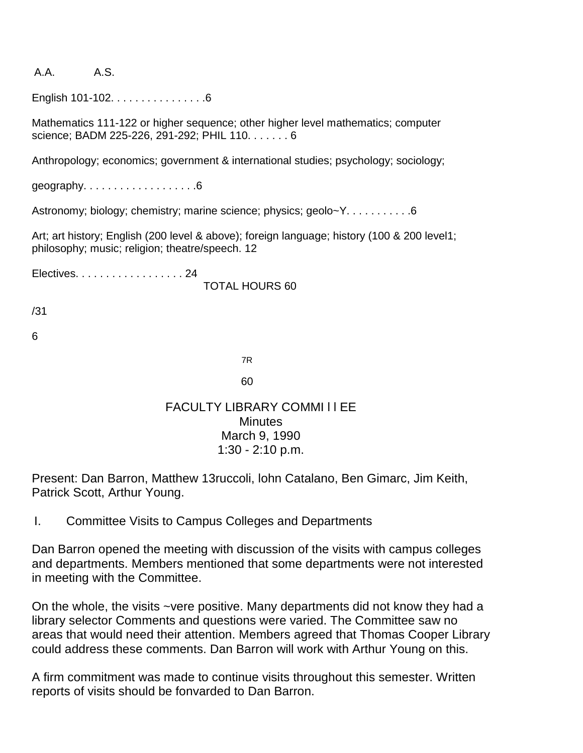A.A. A.S.

English 101-102. . . . . . . . . . . . . . . .6

Mathematics 111-122 or higher sequence; other higher level mathematics; computer science; BADM 225-226, 291-292; PHIL 110. . . . . . . 6

Anthropology; economics; government & international studies; psychology; sociology;

geography.  $\ldots$  . . . . . . . . . . . . . . . . 6

Astronomy; biology; chemistry; marine science; physics; geolo~Y. . . . . . . . . . .6

Art; art history; English (200 level & above); foreign language; history (100 & 200 level1; philosophy; music; religion; theatre/speech. 12

Electives. . . . . . . . . . . . . . . . . . 24

TOTAL HOURS 60

/31

6

7R

60

# FACULTY LIBRARY COMMI I I EE **Minutes** March 9, 1990 1:30 - 2:10 p.m.

Present: Dan Barron, Matthew 13ruccoli, lohn Catalano, Ben Gimarc, Jim Keith, Patrick Scott, Arthur Young.

I. Committee Visits to Campus Colleges and Departments

Dan Barron opened the meeting with discussion of the visits with campus colleges and departments. Members mentioned that some departments were not interested in meeting with the Committee.

On the whole, the visits ~vere positive. Many departments did not know they had a library selector Comments and questions were varied. The Committee saw no areas that would need their attention. Members agreed that Thomas Cooper Library could address these comments. Dan Barron will work with Arthur Young on this.

A firm commitment was made to continue visits throughout this semester. Written reports of visits should be fonvarded to Dan Barron.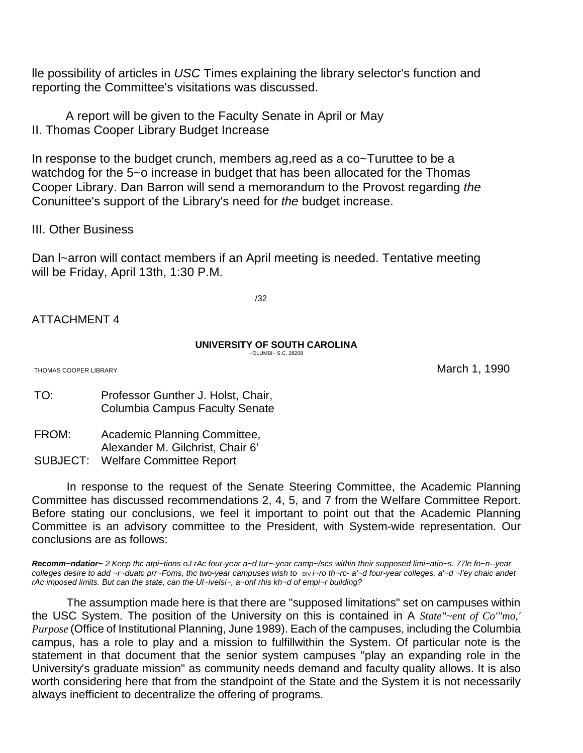lle possibility of articles in *USC* Times explaining the library selector's function and reporting the Committee's visitations was discussed.

A report will be given to the Faculty Senate in April or May II. Thomas Cooper Library Budget Increase

In response to the budget crunch, members ag,reed as a co~Turuttee to be a watchdog for the 5~o increase in budget that has been allocated for the Thomas Cooper Library. Dan Barron will send a memorandum to the Provost regarding *the*  Conunittee's support of the Library's need for *the* budget increase.

## III. Other Business

Dan l~arron will contact members if an April meeting is needed. Tentative meeting will be Friday, April 13th, 1:30 P.M.

/32

## ATTACHMENT 4

#### **UNIVERSITY OF SOUTH CAROLINA**

~OLUMBI~ S.C. 28208

THOMAS COOPER LIBRARY **March 1, 1990** 

- TO: Professor Gunther J. Holst, Chair, Columbia Campus Faculty Senate
- FROM: Academic Planning Committee, Alexander M. Gilchrist, Chair 6' SUBJECT: Welfare Committee Report

In response to the request of the Senate Steering Committee, the Academic Planning Committee has discussed recommendations 2, 4, 5, and 7 from the Welfare Committee Report. Before stating our conclusions, we feel it important to point out that the Academic Planning Committee is an advisory committee to the President, with System-wide representation. Our conclusions are as follows:

*Recomm~ndatior~ 2 Keep thc atpi~tions oJ rAc four-year a~d tur~-year camp~/scs within their supposed limi~atio~s. 77le fo~n--year colleges desire to add ~r~duatc prr~Foms, thc two-year campuses wish to* ~DIV *i~ro th~rc- a'~d four-year colleges, a'~d ~l'ey chaic andet rAc imposed limits. But can the state, can the Ul~ivelsi~, a~onf rhis kh~d of empi~r building?*

The assumption made here is that there are "supposed limitations" set on campuses within the USC System. The position of the University on this is contained in A *State''~ent of Co'''mo,' Purpose* (Office of Institutional Planning, June 1989). Each of the campuses, including the Columbia campus, has a role to play and a mission to fulfillwithin the System. Of particular note is the statement in that document that the senior system campuses "play an expanding role in the University's graduate mission" as community needs demand and faculty quality allows. It is also worth considering here that from the standpoint of the State and the System it is not necessarily always inefficient to decentralize the offering of programs.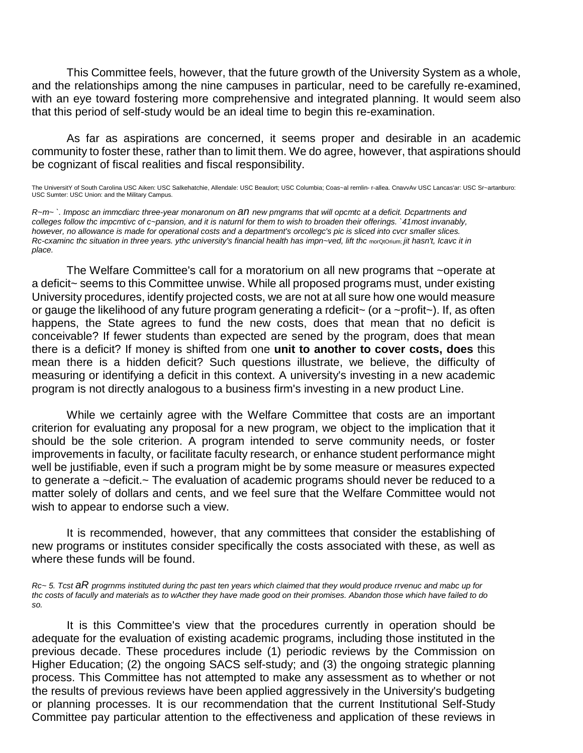This Committee feels, however, that the future growth of the University System as a whole, and the relationships among the nine campuses in particular, need to be carefully re-examined, with an eye toward fostering more comprehensive and integrated planning. It would seem also that this period of self-study would be an ideal time to begin this re-examination.

As far as aspirations are concerned, it seems proper and desirable in an academic community to foster these, rather than to limit them. We do agree, however, that aspirations should be cognizant of fiscal realities and fiscal responsibility.

*R~m~ `. Imposc an immcdiarc three-year monaronum on an new pmgrams that will opcmtc at a deficit. Dcpartrnents and colleges follow thc impcmtivc of c~pansion, and it is naturnl for them to wish to broaden their offerings. `41most invanably, however, no allowance is made for operational costs and a department's orcollegc's pic is sliced into cvcr smaller slices. Rc-cxaminc thc situation in three years. ythc university's financial health has impn~ved, lift thc morQtOrium; jit hasn't, Icavc it in place.*

The Welfare Committee's call for a moratorium on all new programs that ~operate at a deficit~ seems to this Committee unwise. While all proposed programs must, under existing University procedures, identify projected costs, we are not at all sure how one would measure or gauge the likelihood of any future program generating a rdeficit~ (or a ~profit~). If, as often happens, the State agrees to fund the new costs, does that mean that no deficit is conceivable? If fewer students than expected are sened by the program, does that mean there is a deficit? If money is shifted from one **unit to another to cover costs, does** this mean there is a hidden deficit? Such questions illustrate, we believe, the difficulty of measuring or identifying a deficit in this context. A university's investing in a new academic program is not directly analogous to a business firm's investing in a new product Line.

While we certainly agree with the Welfare Committee that costs are an important criterion for evaluating any proposal for a new program, we object to the implication that it should be the sole criterion. A program intended to serve community needs, or foster improvements in faculty, or facilitate faculty research, or enhance student performance might well be justifiable, even if such a program might be by some measure or measures expected to generate a ~deficit.~ The evaluation of academic programs should never be reduced to a matter solely of dollars and cents, and we feel sure that the Welfare Committee would not wish to appear to endorse such a view.

It is recommended, however, that any committees that consider the establishing of new programs or institutes consider specifically the costs associated with these, as well as where these funds will be found.

*Rc~ 5. Tcst aR progrnms instituted during thc past ten years which claimed that they would produce rrvenuc and mabc up for thc costs of facully and materials as to wActher they have made good on their promises. Abandon those which have failed to do so.*

It is this Committee's view that the procedures currently in operation should be adequate for the evaluation of existing academic programs, including those instituted in the previous decade. These procedures include (1) periodic reviews by the Commission on Higher Education; (2) the ongoing SACS self-study; and (3) the ongoing strategic planning process. This Committee has not attempted to make any assessment as to whether or not the results of previous reviews have been applied aggressively in the University's budgeting or planning processes. It is our recommendation that the current Institutional Self-Study Committee pay particular attention to the effectiveness and application of these reviews in

The UniversitY of South Carolina USC Aiken: USC Salkehatchie, Allendale: USC Beaulort; USC Columbia; Coas~al rernlin- r-allea. CnavvAv USC Lancas'ar: USC Sr~artanburo: USC Sumter: USC Union: and the Military Campus.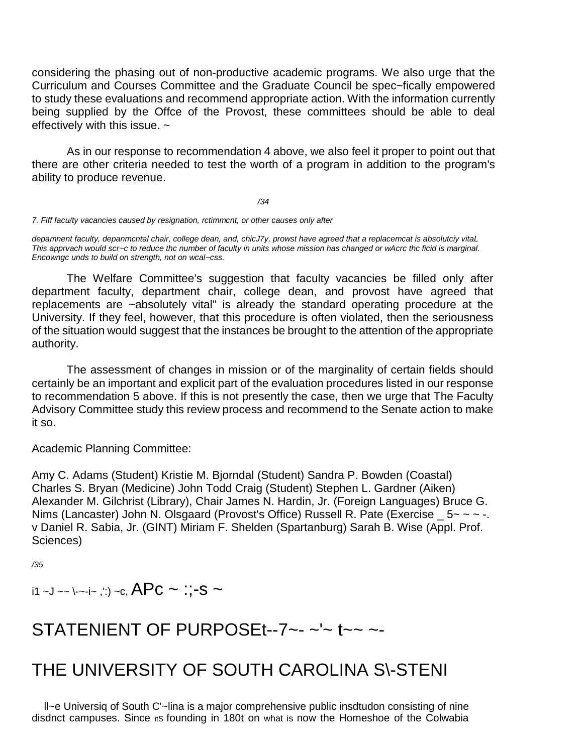considering the phasing out of non-productive academic programs. We also urge that the Curriculum and Courses Committee and the Graduate Council be spec~fically empowered to study these evaluations and recommend appropriate action. With the information currently being supplied by the Offce of the Provost, these committees should be able to deal effectively with this issue. ~

As in our response to recommendation 4 above, we also feel it proper to point out that there are other criteria needed to test the worth of a program in addition to the program's ability to produce revenue.

*/34*

*7. Fiff facu/ty vacancies caused by resignation, rctimmcnt, or other causes only after*

*depamnent faculty, depanmcntal chair, college dean, and, chicJ7y, prowst have agreed that a replacemcat is absolutciy vitaL This apprvach would scr~c to reduce thc number of faculty in units whose mission has changed or wAcrc thc ficid is marginal. Encowngc unds to build on strength, not on wcal~css.*

The Welfare Committee's suggestion that faculty vacancies be filled only after department faculty, department chair, college dean, and provost have agreed that replacements are ~absolutely vital" is already the standard operating procedure at the University. If they feel, however, that this procedure is often violated, then the seriousness of the situation would suggest that the instances be brought to the attention of the appropriate authority.

The assessment of changes in mission or of the marginality of certain fields should certainly be an important and explicit part of the evaluation procedures listed in our response to recommendation 5 above. If this is not presently the case, then we urge that The Faculty Advisory Committee study this review process and recommend to the Senate action to make it so.

Academic Planning Committee:

Amy C. Adams (Student) Kristie M. Bjorndal (Student) Sandra P. Bowden (Coastal) Charles S. Bryan (Medicine) John Todd Craig (Student) Stephen L. Gardner (Aiken) Alexander M. Gilchrist (Library), Chair James N. Hardin, Jr. (Foreign Languages) Bruce G. Nims (Lancaster) John N. Olsgaard (Provost's Office) Russell R. Pate (Exercise 5~ ~ ~ -. v Daniel R. Sabia, Jr. (GINT) Miriam F. Shelden (Spartanburg) Sarah B. Wise (Appl. Prof. Sciences)

*/35*

i1 ~J ~~ \-~-i~ ,':) ~c,  $APc \sim$  ::-S ~

# STATENIENT OF PURPOSEt--7~- ~'~ t~~ ~-

# THE UNIVERSITY OF SOUTH CAROLINA S\-STENI

ll~e Universiq of South C'~lina is a major comprehensive public insdtudon consisting of nine disdnct campuses. Since its founding in 180t on what is now the Homeshoe of the Colwabia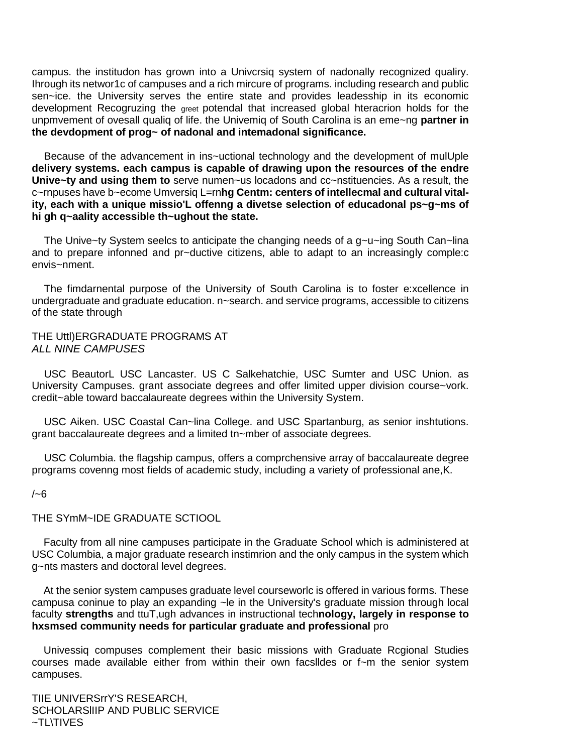campus. the institudon has grown into a Univcrsiq system of nadonally recognized qualiry. Ihrough its networ1c of campuses and a rich mircure of programs. including research and public sen~ice. the University serves the entire state and provides leadesship in its economic development Recogruzing the greet potendal that increased global hteracrion holds for the unpmvement of ovesall qualiq of life. the Univemiq of South Carolina is an eme~ng **partner in the devdopment of prog~ of nadonal and intemadonal significance.**

Because of the advancement in ins~uctional technology and the development of mulUple **delivery systems. each campus is capable of drawing upon the resources of the endre Unive~ty and using them to** serve numen~us locadons and cc~nstituencies. As a result, the c~rnpuses have b~ecome Umversiq L=rn**hg Centm: centers of intellecmal and cultural vitality, each with a unique missio'L offenng a divetse selection of educadonal ps~g~ms of hi gh q~aality accessible th~ughout the state.**

The Unive~ty System seelcs to anticipate the changing needs of a g~u~ing South Can~lina and to prepare infonned and pr~ductive citizens, able to adapt to an increasingly comple:c envis~nment.

The fimdarnental purpose of the University of South Carolina is to foster e:xcellence in undergraduate and graduate education. n~search. and service programs, accessible to citizens of the state through

THE Uttl)ERGRADUATE PROGRAMS AT *ALL NINE CAMPUSES*

USC BeautorL USC Lancaster. US C Salkehatchie, USC Sumter and USC Union. as University Campuses. grant associate degrees and offer limited upper division course~vork. credit~able toward baccalaureate degrees within the University System.

USC Aiken. USC Coastal Can~lina College. and USC Spartanburg, as senior inshtutions. grant baccalaureate degrees and a limited tn~mber of associate degrees.

USC Columbia. the flagship campus, offers a comprchensive array of baccalaureate degree programs covenng most fields of academic study, including a variety of professional ane,K.

 $/~6$ 

THE SYmM~IDE GRADUATE SCTIOOL

Faculty from all nine campuses participate in the Graduate School which is administered at USC Columbia, a major graduate research instimrion and the only campus in the system which g~nts masters and doctoral level degrees.

At the senior system campuses graduate level courseworlc is offered in various forms. These campusa coninue to play an expanding ~le in the University's graduate mission through local faculty **strengths** and ttuT,ugh advances in instructional tech**nology, largely in response to hxsmsed community needs for particular graduate and professional** pro

Univessiq compuses complement their basic missions with Graduate Rcgional Studies courses made available either from within their own facslldes or f~m the senior system campuses.

TIIE UNIVERSrrY'S RESEARCH, SCHOLARSlIIP AND PUBLIC SERVICE ~TL\TIVES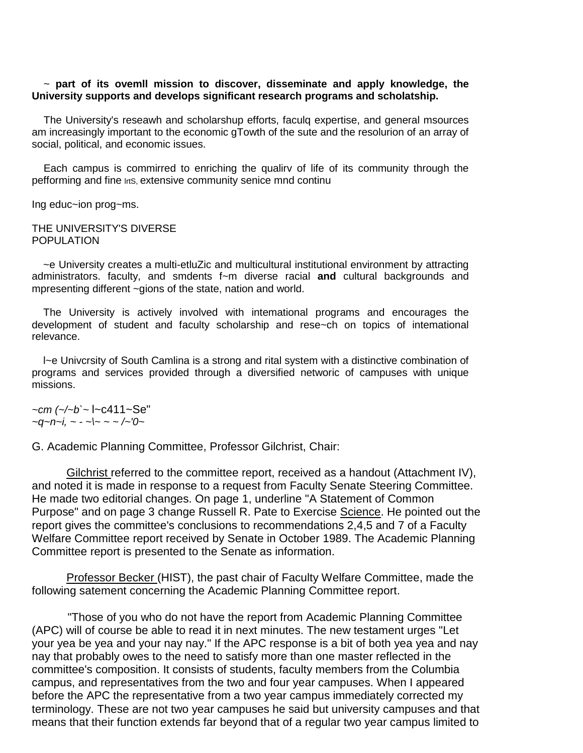#### ~ **part of its ovemll mission to discover, disseminate and apply knowledge, the University supports and develops significant research programs and scholatship.**

The University's reseawh and scholarshup efforts, faculq expertise, and general msources am increasingly important to the economic gTowth of the sute and the resolurion of an array of social, political, and economic issues.

Each campus is commirred to enriching the qualirv of life of its community through the pefforming and fine lrtS, extensive community senice mnd continu

Ing educ~ion prog~ms.

THE UNIVERSITY'S DIVERSE POPULATION

~e University creates a multi-etluZic and multicultural institutional environment by attracting administrators. faculty, and smdents f~m diverse racial **and** cultural backgrounds and mpresenting different ~gions of the state, nation and world.

The University is actively involved with intemational programs and encourages the development of student and faculty scholarship and rese~ch on topics of intemational relevance.

l~e Univcrsity of South Camlina is a strong and rital system with a distinctive combination of programs and services provided through a diversified networic of campuses with unique missions.

*~cm (~/~b`~* l~c411~Se" *~q~n~i, ~ - ~\~ ~ ~ /~'0~*

G. Academic Planning Committee, Professor Gilchrist, Chair:

Gilchrist referred to the committee report, received as a handout (Attachment IV), and noted it is made in response to a request from Faculty Senate Steering Committee. He made two editorial changes. On page 1, underline "A Statement of Common Purpose" and on page 3 change Russell R. Pate to Exercise Science. He pointed out the report gives the committee's conclusions to recommendations 2,4,5 and 7 of a Faculty Welfare Committee report received by Senate in October 1989. The Academic Planning Committee report is presented to the Senate as information.

Professor Becker (HIST), the past chair of Faculty Welfare Committee, made the following satement concerning the Academic Planning Committee report.

"Those of you who do not have the report from Academic Planning Committee (APC) will of course be able to read it in next minutes. The new testament urges "Let your yea be yea and your nay nay." If the APC response is a bit of both yea yea and nay nay that probably owes to the need to satisfy more than one master reflected in the committee's composition. It consists of students, faculty members from the Columbia campus, and representatives from the two and four year campuses. When I appeared before the APC the representative from a two year campus immediately corrected my terminology. These are not two year campuses he said but university campuses and that means that their function extends far beyond that of a regular two year campus limited to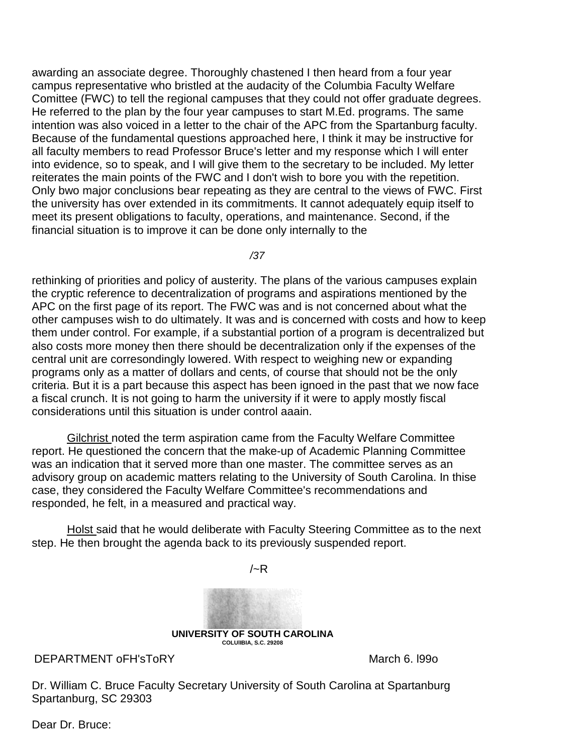awarding an associate degree. Thoroughly chastened I then heard from a four year campus representative who bristled at the audacity of the Columbia Faculty Welfare Comittee (FWC) to tell the regional campuses that they could not offer graduate degrees. He referred to the plan by the four year campuses to start M.Ed. programs. The same intention was also voiced in a letter to the chair of the APC from the Spartanburg faculty. Because of the fundamental questions approached here, I think it may be instructive for all faculty members to read Professor Bruce's letter and my response which I will enter into evidence, so to speak, and I will give them to the secretary to be included. My letter reiterates the main points of the FWC and I don't wish to bore you with the repetition. Only bwo major conclusions bear repeating as they are central to the views of FWC. First the university has over extended in its commitments. It cannot adequately equip itself to meet its present obligations to faculty, operations, and maintenance. Second, if the financial situation is to improve it can be done only internally to the

*/37*

rethinking of priorities and policy of austerity. The plans of the various campuses explain the cryptic reference to decentralization of programs and aspirations mentioned by the APC on the first page of its report. The FWC was and is not concerned about what the other campuses wish to do ultimately. It was and is concerned with costs and how to keep them under control. For example, if a substantial portion of a program is decentralized but also costs more money then there should be decentralization only if the expenses of the central unit are corresondingly lowered. With respect to weighing new or expanding programs only as a matter of dollars and cents, of course that should not be the only criteria. But it is a part because this aspect has been ignoed in the past that we now face a fiscal crunch. It is not going to harm the university if it were to apply mostly fiscal considerations until this situation is under control aaain.

Gilchrist noted the term aspiration came from the Faculty Welfare Committee report. He questioned the concern that the make-up of Academic Planning Committee was an indication that it served more than one master. The committee serves as an advisory group on academic matters relating to the University of South Carolina. In thise case, they considered the Faculty Welfare Committee's recommendations and responded, he felt, in a measured and practical way.

Holst said that he would deliberate with Faculty Steering Committee as to the next step. He then brought the agenda back to its previously suspended report.

 $/-R$ 

**UNIVERSITY OF SOUTH CAROLINA COLUlIBIA, S.C. 29208**

DEPARTMENT oFH'sToRY March 6. I990

Dr. William C. Bruce Faculty Secretary University of South Carolina at Spartanburg Spartanburg, SC 29303

Dear Dr. Bruce: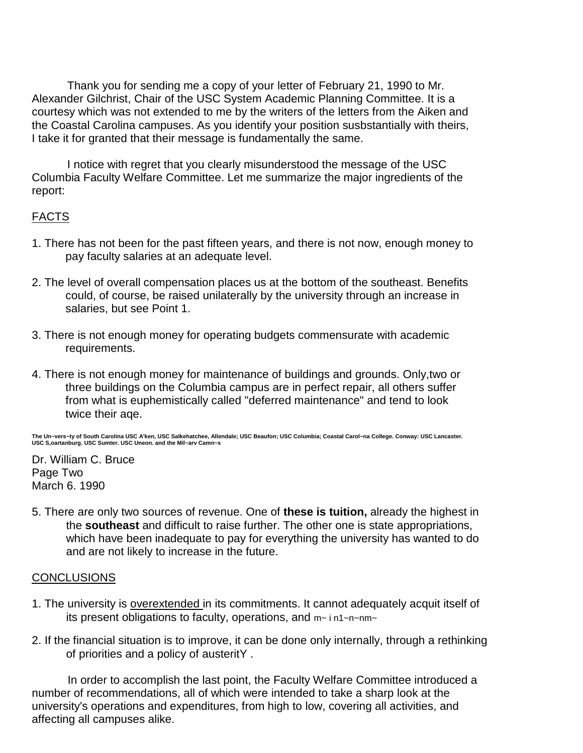Thank you for sending me a copy of your letter of February 21, 1990 to Mr. Alexander Gilchrist, Chair of the USC System Academic Planning Committee. It is a courtesy which was not extended to me by the writers of the letters from the Aiken and the Coastal Carolina campuses. As you identify your position susbstantially with theirs, I take it for granted that their message is fundamentally the same.

I notice with regret that you clearly misunderstood the message of the USC Columbia Faculty Welfare Committee. Let me summarize the major ingredients of the report:

## FACTS

- 1. There has not been for the past fifteen years, and there is not now, enough money to pay faculty salaries at an adequate level.
- 2. The level of overall compensation places us at the bottom of the southeast. Benefits could, of course, be raised unilaterally by the university through an increase in salaries, but see Point 1.
- 3. There is not enough money for operating budgets commensurate with academic requirements.
- 4. There is not enough money for maintenance of buildings and grounds. Only,two or three buildings on the Columbia campus are in perfect repair, all others suffer from what is euphemistically called "deferred maintenance" and tend to look twice their age.

The Un∼vers∼ty of South Carolina USC A'ken, USC Salkehatchee, Allendale; USC Beaufon; USC Columbia; Coastal Carol∽na College. Conway: USC Lancaster.<br>USC S,oartanburg. USC Sumter. USC Uneon. and the Mil∼arv Camn∼s

Dr. William C. Bruce Page Two March 6. 1990

5. There are only two sources of revenue. One of **these is tuition,** already the highest in the **southeast** and difficult to raise further. The other one is state appropriations, which have been inadequate to pay for everything the university has wanted to do and are not likely to increase in the future.

#### CONCLUSIONS

- 1. The university is overextended in its commitments. It cannot adequately acquit itself of its present obligations to faculty, operations, and m~ i n1~n~nm~
- 2. If the financial situation is to improve, it can be done only internally, through a rethinking of priorities and a policy of austeritY .

In order to accomplish the last point, the Faculty Welfare Committee introduced a number of recommendations, all of which were intended to take a sharp look at the university's operations and expenditures, from high to low, covering all activities, and affecting all campuses alike.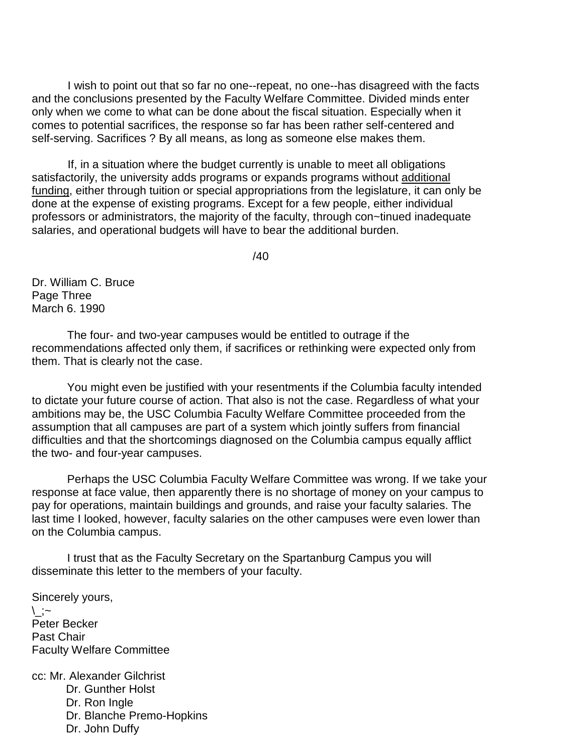I wish to point out that so far no one--repeat, no one--has disagreed with the facts and the conclusions presented by the Faculty Welfare Committee. Divided minds enter only when we come to what can be done about the fiscal situation. Especially when it comes to potential sacrifices, the response so far has been rather self-centered and self-serving. Sacrifices ? By all means, as long as someone else makes them.

If, in a situation where the budget currently is unable to meet all obligations satisfactorily, the university adds programs or expands programs without additional funding, either through tuition or special appropriations from the legislature, it can only be done at the expense of existing programs. Except for a few people, either individual professors or administrators, the majority of the faculty, through con~tinued inadequate salaries, and operational budgets will have to bear the additional burden.

/40

Dr. William C. Bruce Page Three March 6. 1990

The four- and two-year campuses would be entitled to outrage if the recommendations affected only them, if sacrifices or rethinking were expected only from them. That is clearly not the case.

You might even be justified with your resentments if the Columbia faculty intended to dictate your future course of action. That also is not the case. Regardless of what your ambitions may be, the USC Columbia Faculty Welfare Committee proceeded from the assumption that all campuses are part of a system which jointly suffers from financial difficulties and that the shortcomings diagnosed on the Columbia campus equally afflict the two- and four-year campuses.

Perhaps the USC Columbia Faculty Welfare Committee was wrong. If we take your response at face value, then apparently there is no shortage of money on your campus to pay for operations, maintain buildings and grounds, and raise your faculty salaries. The last time I looked, however, faculty salaries on the other campuses were even lower than on the Columbia campus.

I trust that as the Faculty Secretary on the Spartanburg Campus you will disseminate this letter to the members of your faculty.

Sincerely yours,  $\backslash$  :~ Peter Becker Past Chair Faculty Welfare Committee

cc: Mr. Alexander Gilchrist Dr. Gunther Holst Dr. Ron Ingle Dr. Blanche Premo-Hopkins Dr. John Duffy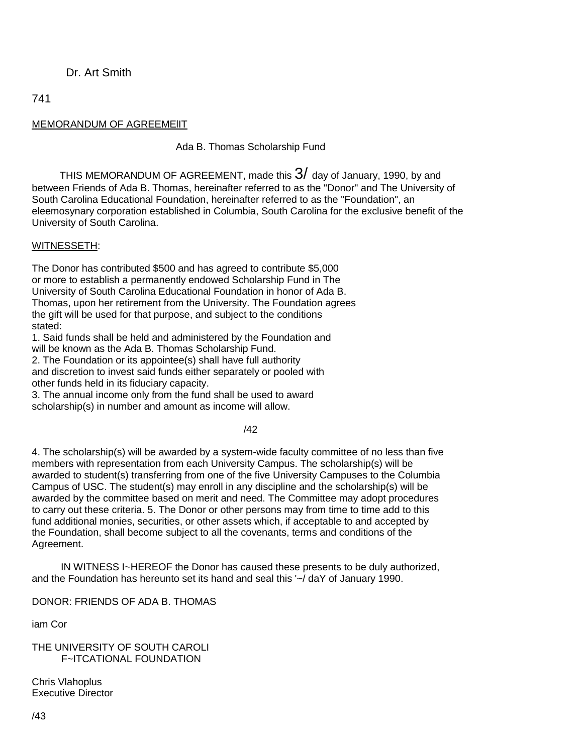## Dr. Art Smith

### 741

## MEMORANDUM OF AGREEMElIT

Ada B. Thomas Scholarship Fund

THIS MEMORANDUM OF AGREEMENT, made this  $3/$  day of January, 1990, by and between Friends of Ada B. Thomas, hereinafter referred to as the "Donor" and The University of South Carolina Educational Foundation, hereinafter referred to as the "Foundation", an eleemosynary corporation established in Columbia, South Carolina for the exclusive benefit of the University of South Carolina.

#### WITNESSETH:

The Donor has contributed \$500 and has agreed to contribute \$5,000 or more to establish a permanently endowed Scholarship Fund in The University of South Carolina Educational Foundation in honor of Ada B. Thomas, upon her retirement from the University. The Foundation agrees the gift will be used for that purpose, and subject to the conditions stated:

1. Said funds shall be held and administered by the Foundation and will be known as the Ada B. Thomas Scholarship Fund.

2. The Foundation or its appointee(s) shall have full authority and discretion to invest said funds either separately or pooled with other funds held in its fiduciary capacity.

3. The annual income only from the fund shall be used to award scholarship(s) in number and amount as income will allow.

#### /42

4. The scholarship(s) will be awarded by a system-wide faculty committee of no less than five members with representation from each University Campus. The scholarship(s) will be awarded to student(s) transferring from one of the five University Campuses to the Columbia Campus of USC. The student(s) may enroll in any discipline and the scholarship(s) will be awarded by the committee based on merit and need. The Committee may adopt procedures to carry out these criteria. 5. The Donor or other persons may from time to time add to this fund additional monies, securities, or other assets which, if acceptable to and accepted by the Foundation, shall become subject to all the covenants, terms and conditions of the Agreement.

IN WITNESS I~HEREOF the Donor has caused these presents to be duly authorized, and the Foundation has hereunto set its hand and seal this '~/ daY of January 1990.

DONOR: FRIENDS OF ADA B. THOMAS

iam Cor

THE UNIVERSITY OF SOUTH CAROLI F~ITCATIONAL FOUNDATION

Chris Vlahoplus Executive Director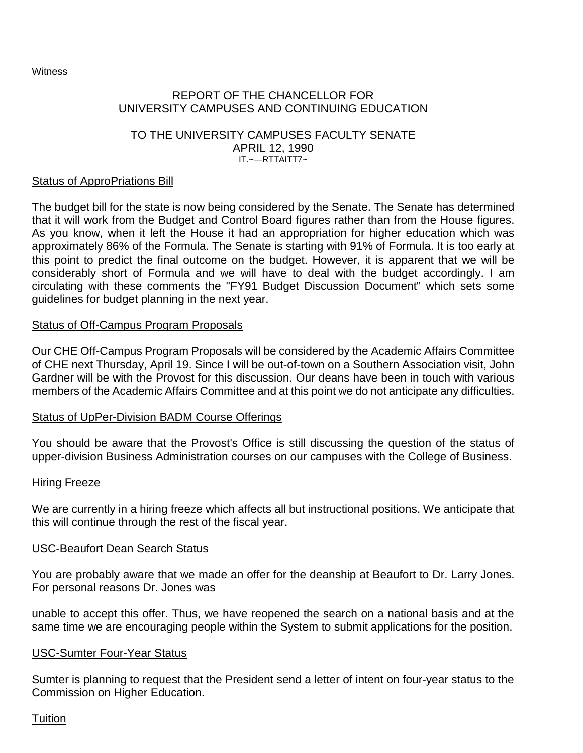**Witness** 

## REPORT OF THE CHANCELLOR FOR UNIVERSITY CAMPUSES AND CONTINUING EDUCATION

#### TO THE UNIVERSITY CAMPUSES FACULTY SENATE APRIL 12, 1990 IT.~—RTTAITT7~

## Status of ApproPriations Bill

The budget bill for the state is now being considered by the Senate. The Senate has determined that it will work from the Budget and Control Board figures rather than from the House figures. As you know, when it left the House it had an appropriation for higher education which was approximately 86% of the Formula. The Senate is starting with 91% of Formula. It is too early at this point to predict the final outcome on the budget. However, it is apparent that we will be considerably short of Formula and we will have to deal with the budget accordingly. I am circulating with these comments the "FY91 Budget Discussion Document" which sets some guidelines for budget planning in the next year.

## Status of Off-Campus Program Proposals

Our CHE Off-Campus Program Proposals will be considered by the Academic Affairs Committee of CHE next Thursday, April 19. Since I will be out-of-town on a Southern Association visit, John Gardner will be with the Provost for this discussion. Our deans have been in touch with various members of the Academic Affairs Committee and at this point we do not anticipate any difficulties.

#### Status of UpPer-Division BADM Course Offerings

You should be aware that the Provost's Office is still discussing the question of the status of upper-division Business Administration courses on our campuses with the College of Business.

#### Hiring Freeze

We are currently in a hiring freeze which affects all but instructional positions. We anticipate that this will continue through the rest of the fiscal year.

## USC-Beaufort Dean Search Status

You are probably aware that we made an offer for the deanship at Beaufort to Dr. Larry Jones. For personal reasons Dr. Jones was

unable to accept this offer. Thus, we have reopened the search on a national basis and at the same time we are encouraging people within the System to submit applications for the position.

#### USC-Sumter Four-Year Status

Sumter is planning to request that the President send a letter of intent on four-year status to the Commission on Higher Education.

## **Tuition**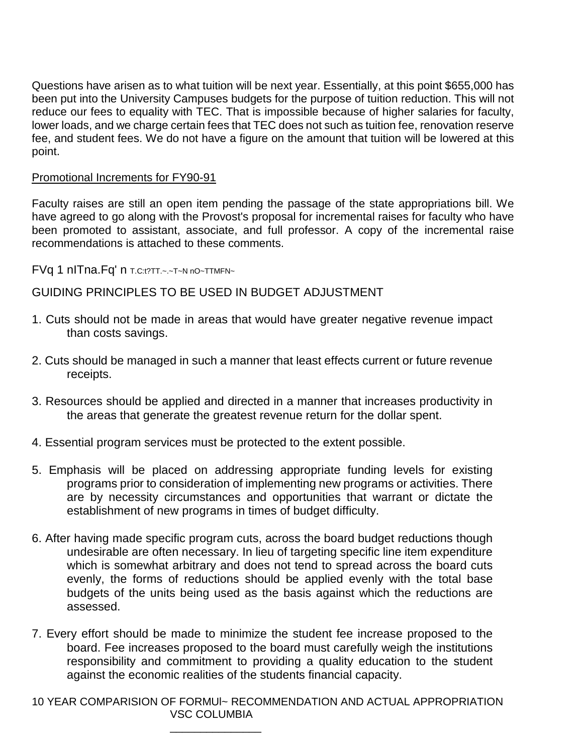Questions have arisen as to what tuition will be next year. Essentially, at this point \$655,000 has been put into the University Campuses budgets for the purpose of tuition reduction. This will not reduce our fees to equality with TEC. That is impossible because of higher salaries for faculty, lower loads, and we charge certain fees that TEC does not such as tuition fee, renovation reserve fee, and student fees. We do not have a figure on the amount that tuition will be lowered at this point.

## Promotional Increments for FY90-91

Faculty raises are still an open item pending the passage of the state appropriations bill. We have agreed to go along with the Provost's proposal for incremental raises for faculty who have been promoted to assistant, associate, and full professor. A copy of the incremental raise recommendations is attached to these comments.

FVq 1 nITna.Fq' n T.C:t?TT.~.~T~N nO~TTMFN~

# GUIDING PRINCIPLES TO BE USED IN BUDGET ADJUSTMENT

- 1. Cuts should not be made in areas that would have greater negative revenue impact than costs savings.
- 2. Cuts should be managed in such a manner that least effects current or future revenue receipts.
- 3. Resources should be applied and directed in a manner that increases productivity in the areas that generate the greatest revenue return for the dollar spent.
- 4. Essential program services must be protected to the extent possible.
- 5. Emphasis will be placed on addressing appropriate funding levels for existing programs prior to consideration of implementing new programs or activities. There are by necessity circumstances and opportunities that warrant or dictate the establishment of new programs in times of budget difficulty.
- 6. After having made specific program cuts, across the board budget reductions though undesirable are often necessary. In lieu of targeting specific line item expenditure which is somewhat arbitrary and does not tend to spread across the board cuts evenly, the forms of reductions should be applied evenly with the total base budgets of the units being used as the basis against which the reductions are assessed.
- 7. Every effort should be made to minimize the student fee increase proposed to the board. Fee increases proposed to the board must carefully weigh the institutions responsibility and commitment to providing a quality education to the student against the economic realities of the students financial capacity.

10 YEAR COMPARISION OF FORMUl~ RECOMMENDATION AND ACTUAL APPROPRIATION VSC COLUMBIA

\_\_\_\_\_\_\_\_\_\_\_\_\_\_\_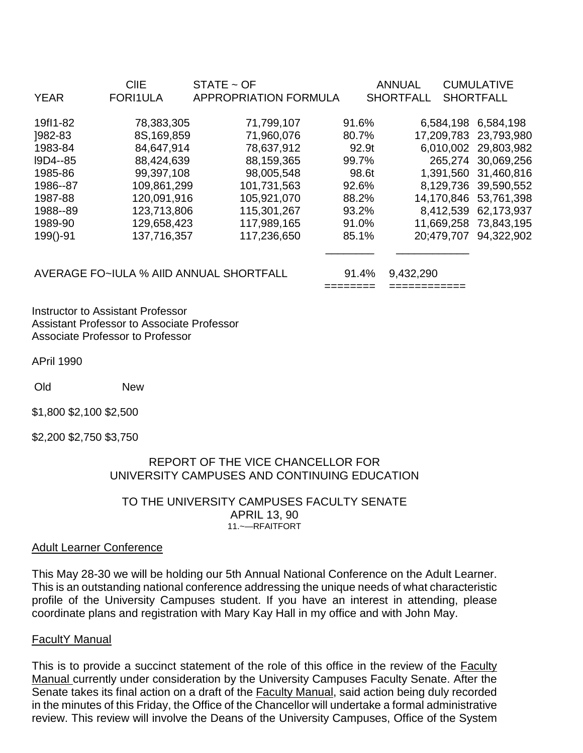|              | <b>CIIE</b>     | STATE ~ OF                   |       | <b>ANNUAL</b>    | <b>CUMULATIVE</b>     |
|--------------|-----------------|------------------------------|-------|------------------|-----------------------|
| <b>YEAR</b>  | <b>FORI1ULA</b> | <b>APPROPRIATION FORMULA</b> |       | <b>SHORTFALL</b> | <b>SHORTFALL</b>      |
|              |                 |                              |       |                  |                       |
| 19f11-82     | 78,383,305      | 71,799,107                   | 91.6% | 6,584,198        | 6,584,198             |
| 1982-83      | 8S, 169, 859    | 71,960,076                   | 80.7% |                  | 17,209,783 23,793,980 |
| 1983-84      | 84,647,914      | 78,637,912                   | 92.9t |                  | 6,010,002 29,803,982  |
| I9D4--85     | 88,424,639      | 88,159,365                   | 99.7% |                  | 265,274 30,069,256    |
| 1985-86      | 99,397,108      | 98,005,548                   | 98.6t |                  | 1,391,560 31,460,816  |
| 1986--87     | 109,861,299     | 101,731,563                  | 92.6% |                  | 8.129.736 39,590,552  |
| 1987-88      | 120,091,916     | 105,921,070                  | 88.2% | 14,170,846       | 53,761,398            |
| 1988--89     | 123,713,806     | 115,301,267                  | 93.2% | 8,412,539        | 62,173,937            |
| 1989-90      | 129,658,423     | 117,989,165                  | 91.0% | 11,669,258       | 73,843,195            |
| $199() - 91$ | 137,716,357     | 117,236,650                  | 85.1% | 20:479.707       | 94,322,902            |
|              |                 |                              |       |                  |                       |
|              |                 |                              |       |                  |                       |

AVERAGE FO~IULA % AIlD ANNUAL SHORTFALL 91.4% 9,432,290

======== ============

Instructor to Assistant Professor Assistant Professor to Associate Professor Associate Professor to Professor

APril 1990

Old New

\$1,800 \$2,100 \$2,500

\$2,200 \$2,750 \$3,750

## REPORT OF THE VICE CHANCELLOR FOR UNIVERSITY CAMPUSES AND CONTINUING EDUCATION

TO THE UNIVERSITY CAMPUSES FACULTY SENATE APRIL 13, 90 11.~—RFAITFORT

#### Adult Learner Conference

This May 28-30 we will be holding our 5th Annual National Conference on the Adult Learner. This is an outstanding national conference addressing the unique needs of what characteristic profile of the University Campuses student. If you have an interest in attending, please coordinate plans and registration with Mary Kay Hall in my office and with John May.

#### FacultY Manual

This is to provide a succinct statement of the role of this office in the review of the Faculty Manual currently under consideration by the University Campuses Faculty Senate. After the Senate takes its final action on a draft of the Faculty Manual, said action being duly recorded in the minutes of this Friday, the Office of the Chancellor will undertake a formal administrative review. This review will involve the Deans of the University Campuses, Office of the System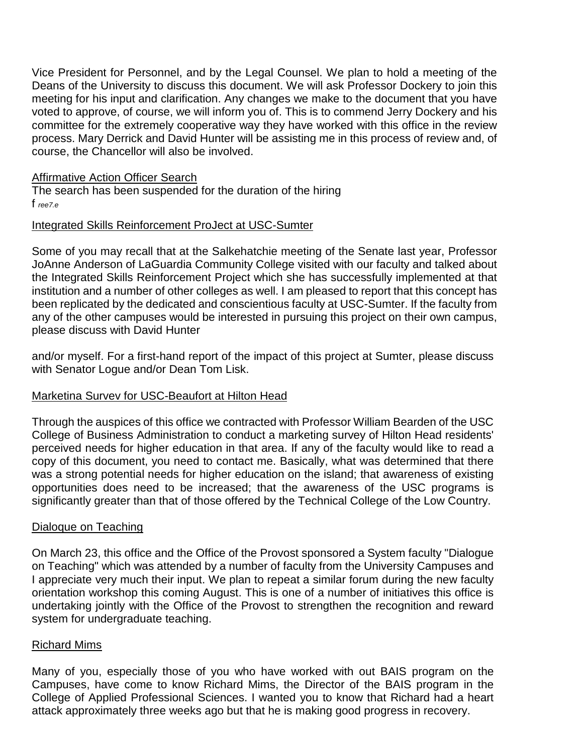Vice President for Personnel, and by the Legal Counsel. We plan to hold a meeting of the Deans of the University to discuss this document. We will ask Professor Dockery to join this meeting for his input and clarification. Any changes we make to the document that you have voted to approve, of course, we will inform you of. This is to commend Jerry Dockery and his committee for the extremely cooperative way they have worked with this office in the review process. Mary Derrick and David Hunter will be assisting me in this process of review and, of course, the Chancellor will also be involved.

## Affirmative Action Officer Search

The search has been suspended for the duration of the hiring f *ree7.e*

## Integrated Skills Reinforcement ProJect at USC-Sumter

Some of you may recall that at the Salkehatchie meeting of the Senate last year, Professor JoAnne Anderson of LaGuardia Community College visited with our faculty and talked about the Integrated Skills Reinforcement Project which she has successfully implemented at that institution and a number of other colleges as well. I am pleased to report that this concept has been replicated by the dedicated and conscientious faculty at USC-Sumter. If the faculty from any of the other campuses would be interested in pursuing this project on their own campus, please discuss with David Hunter

and/or myself. For a first-hand report of the impact of this project at Sumter, please discuss with Senator Logue and/or Dean Tom Lisk.

## Marketina Survev for USC-Beaufort at Hilton Head

Through the auspices of this office we contracted with Professor William Bearden of the USC College of Business Administration to conduct a marketing survey of Hilton Head residents' perceived needs for higher education in that area. If any of the faculty would like to read a copy of this document, you need to contact me. Basically, what was determined that there was a strong potential needs for higher education on the island; that awareness of existing opportunities does need to be increased; that the awareness of the USC programs is significantly greater than that of those offered by the Technical College of the Low Country.

## Dialoque on Teaching

On March 23, this office and the Office of the Provost sponsored a System faculty "Dialogue on Teaching" which was attended by a number of faculty from the University Campuses and I appreciate very much their input. We plan to repeat a similar forum during the new faculty orientation workshop this coming August. This is one of a number of initiatives this office is undertaking jointly with the Office of the Provost to strengthen the recognition and reward system for undergraduate teaching.

## Richard Mims

Many of you, especially those of you who have worked with out BAIS program on the Campuses, have come to know Richard Mims, the Director of the BAIS program in the College of Applied Professional Sciences. I wanted you to know that Richard had a heart attack approximately three weeks ago but that he is making good progress in recovery.